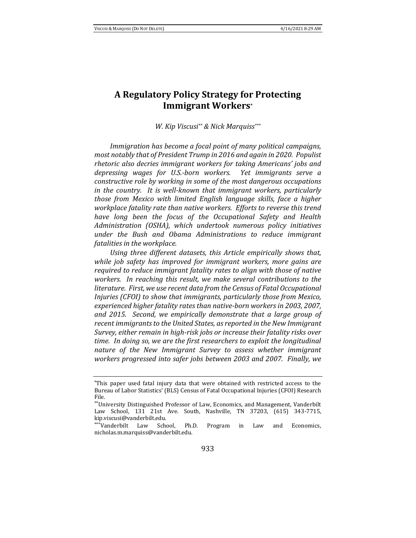# **A Regulatory Policy Strategy for Protecting Immigrant Workers\***

*W. Kip Viscusi\*\* & Nick Marquiss\*\*\**

*Immigration has become a focal point of many political campaigns, most notably that of President Trump in 2016 and again in 2020. Populist rhetoric also decries immigrant workers for taking Americans' jobs and depressing wages for U.S.-born workers. Yet immigrants serve a constructive role by working in some of the most dangerous occupations in the country. It is well-known that immigrant workers, particularly those from Mexico with limited English language skills, face a higher workplace fatality rate than native workers. Efforts to reverse this trend have long been the focus of the Occupational Safety and Health Administration (OSHA), which undertook numerous policy initiatives under the Bush and Obama Administrations to reduce immigrant fatalities in the workplace.*

*Using three different datasets, this Article empirically shows that, while job safety has improved for immigrant workers, more gains are required to reduce immigrant fatality rates to align with those of native workers. In reaching this result, we make several contributions to the literature. First, we use recent data from the Census of Fatal Occupational Injuries (CFOI) to show that immigrants, particularly those from Mexico, experienced higher fatality rates than native-born workers in 2003, 2007, and 2015. Second, we empirically demonstrate that a large group of recent immigrants to the United States, as reported in the New Immigrant Survey, either remain in high-risk jobs or increase their fatality risks over time. In doing so, we are the first researchers to exploit the longitudinal nature of the New Immigrant Survey to assess whether immigrant workers progressed into safer jobs between 2003 and 2007. Finally, we* 

<sup>\*</sup>This paper used fatal injury data that were obtained with restricted access to the Bureau of Labor Statistics' (BLS) Census of Fatal Occupational Injuries (CFOI) Research File.

<sup>\*\*</sup>University Distinguished Professor of Law, Economics, and Management, Vanderbilt Law School, 131 21st Ave. South, Nashville, TN 37203, (615) 343-7715, kip.viscusi@vanderbilt.edu.

<sup>\*\*\*</sup>Vanderbilt Law School, Ph.D. Program in Law and Economics, nicholas.m.marquiss@vanderbilt.edu.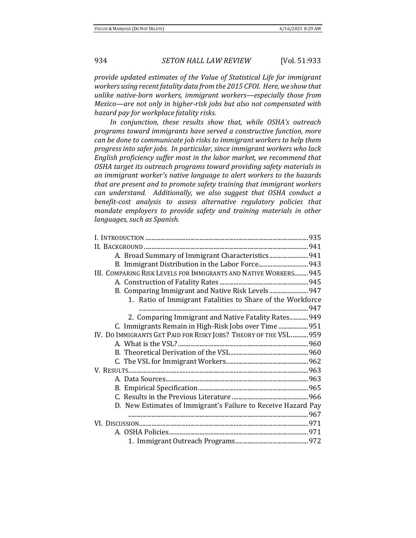*provide updated estimates of the Value of Statistical Life for immigrant workers using recent fatality data from the 2015 CFOI. Here, we show that unlike native-born workers, immigrant workers—especially those from Mexico—are not only in higher-risk jobs but also not compensated with hazard pay for workplace fatality risks.* 

*In conjunction, these results show that, while OSHA's outreach programs toward immigrants have served a constructive function, more can be done to communicate job risks to immigrant workers to help them progress into safer jobs. In particular, since immigrant workers who lack English proficiency suffer most in the labor market, we recommend that OSHA target its outreach programs toward providing safety materials in an immigrant worker's native language to alert workers to the hazards that are present and to promote safety training that immigrant workers can understand. Additionally, we also suggest that OSHA conduct a benefit-cost analysis to assess alternative regulatory policies that mandate employers to provide safety and training materials in other languages, such as Spanish.*

| III. COMPARING RISK LEVELS FOR IMMIGRANTS AND NATIVE WORKERS 945  |  |
|-------------------------------------------------------------------|--|
|                                                                   |  |
| B. Comparing Immigrant and Native Risk Levels  947                |  |
| 1. Ratio of Immigrant Fatalities to Share of the Workforce        |  |
|                                                                   |  |
| 2. Comparing Immigrant and Native Fatality Rates 949              |  |
| C. Immigrants Remain in High-Risk Jobs over Time  951             |  |
| IV. DO IMMIGRANTS GET PAID FOR RISKY JOBS? THEORY OF THE VSL  959 |  |
|                                                                   |  |
|                                                                   |  |
|                                                                   |  |
|                                                                   |  |
|                                                                   |  |
|                                                                   |  |
|                                                                   |  |
| D. New Estimates of Immigrant's Failure to Receive Hazard Pay     |  |
|                                                                   |  |
|                                                                   |  |
|                                                                   |  |
|                                                                   |  |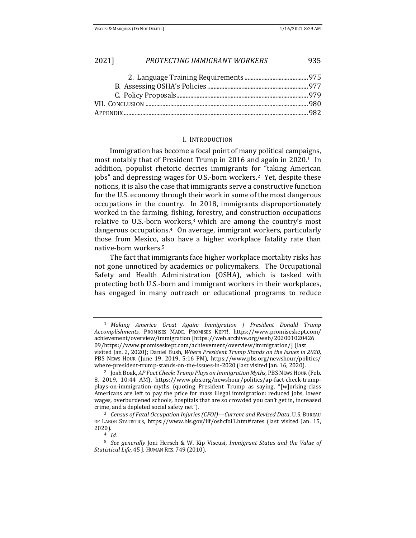#### I. INTRODUCTION

Immigration has become a focal point of many political campaigns, most notably that of President Trump in 2016 and again in 2020.<sup>1</sup> In addition, populist rhetoric decries immigrants for "taking American jobs" and depressing wages for U.S.-born workers.2 Yet, despite these notions, it is also the case that immigrants serve a constructive function for the U.S. economy through their work in some of the most dangerous occupations in the country. In 2018, immigrants disproportionately worked in the farming, fishing, forestry, and construction occupations relative to U.S.-born workers, $3$  which are among the country's most dangerous occupations.4 On average, immigrant workers, particularly those from Mexico, also have a higher workplace fatality rate than native-born workers.<sup>5</sup>

The fact that immigrants face higher workplace mortality risks has not gone unnoticed by academics or policymakers. The Occupational Safety and Health Administration (OSHA), which is tasked with protecting both U.S.-born and immigrant workers in their workplaces, has engaged in many outreach or educational programs to reduce

<sup>1</sup> *Making America Great Again: Immigration | President Donald Trump Accomplishments,* PROMISES MADE, PROMISES KEPT!, https://www.promiseskept.com/ achievement/overview/immigration [https://web.archive.org/web/202001020426 09/https://www.promiseskept.com/achievement/overview/immigration/] (last visited Jan. 2, 2020); Daniel Bush, *Where President Trump Stands on the Issues in 2020,*  PBS NEWS HOUR (June 19, 2019, 5:16 PM), https://www.pbs.org/newshour/politics/ where-president-trump-stands-on-the-issues-in-2020 (last visited Jan. 16, 2020).

<sup>2</sup> Josh Boak, *AP Fact Check: Trump Plays on Immigration Myths*, PBS NEWS HOUR (Feb. 8, 2019, 10:44 AM), https://www.pbs.org/newshour/politics/ap-fact-check-trumpplays-on-immigration-myths (quoting President Trump as saying, "[w]orking-class Americans are left to pay the price for mass illegal immigration: reduced jobs, lower wages, overburdened schools, hospitals that are so crowded you can't get in, increased crime, and a depleted social safety net").

<sup>3</sup> *Census of Fatal Occupation Injuries (CFOI)––Current and Revised Data*, U.S. BUREAU OF LABOR STATISTICS, https://www.bls.gov/iif/oshcfoi1.htm#rates (last visited Jan. 15, 2020).

<sup>4</sup> *Id.*

<sup>5</sup> *See generally* Joni Hersch & W. Kip Viscusi, *Immigrant Status and the Value of Statistical Life*, 45 J. HUMAN RES. 749 (2010).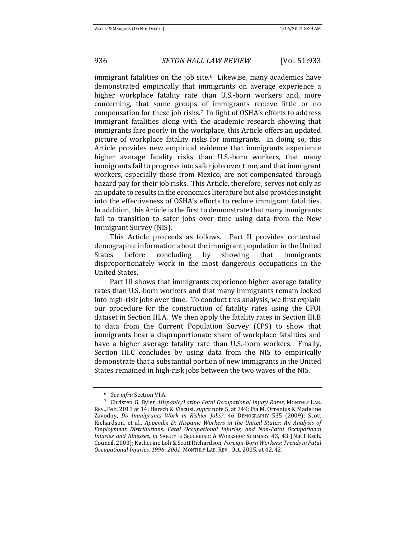immigrant fatalities on the job site.<sup>6</sup> Likewise, many academics have demonstrated empirically that immigrants on average experience a higher workplace fatality rate than U.S.-born workers and, more concerning, that some groups of immigrants receive little or no compensation for these job risks.7 In light of OSHA's efforts to address immigrant fatalities along with the academic research showing that immigrants fare poorly in the workplace, this Article offers an updated picture of workplace fatality risks for immigrants. In doing so, this Article provides new empirical evidence that immigrants experience higher average fatality risks than U.S.-born workers, that many immigrants fail to progress into safer jobs over time, and that immigrant workers, especially those from Mexico, are not compensated through hazard pay for their job risks. This Article, therefore, serves not only as an update to results in the economics literature but also provides insight into the effectiveness of OSHA's efforts to reduce immigrant fatalities. In addition, this Article is the first to demonstrate that many immigrants fail to transition to safer jobs over time using data from the New Immigrant Survey (NIS).

This Article proceeds as follows. Part II provides contextual demographic information about the immigrant population in the United States before concluding by showing that immigrants disproportionately work in the most dangerous occupations in the United States.

Part III shows that immigrants experience higher average fatality rates than U.S.-born workers and that many immigrants remain locked into high-risk jobs over time. To conduct this analysis, we first explain our procedure for the construction of fatality rates using the CFOI dataset in Section III.A. We then apply the fatality rates in Section III.B to data from the Current Population Survey (CPS) to show that immigrants bear a disproportionate share of workplace fatalities and have a higher average fatality rate than U.S.-born workers. Finally, Section III.C concludes by using data from the NIS to empirically demonstrate that a substantial portion of new immigrants in the United States remained in high-risk jobs between the two waves of the NIS.

<sup>6</sup> *See infra* Section VI.A*.* 

<sup>7</sup> Christen G. Byler, *Hispanic/Latino Fatal Occupational Injury Rates*, MONTHLY LAB. REV., Feb. 2013 at 14; Hersch & Viscusi, *supra* note 5, at 749; Pia M. Orrenius & Madeline Zavodny, *Do Immigrants Work in Riskier Jobs?*, 46 DEMOGRAPHY 535 (2009); Scott Richardson, et al., *Appendix D: Hispanic Workers in the United States: An Analysis of Employment Distributions, Fatal Occupational Injuries, and Non-Fatal Occupational Injuries and Illnesses*, *in* SAFETY IS SEGURIDAD: A WORKSHOP SUMMARY 43, 43 (Nat'l Rsch. Council, 2003); Katherine Loh & Scott Richardson, *Foreign-Born Workers: Trends in Fatal Occupational Injuries, 1996–2001*, MONTHLY LAB. REV., Oct. 2005, at 42, 42.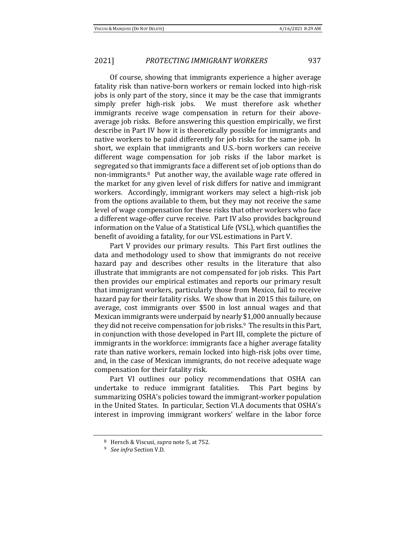Of course, showing that immigrants experience a higher average fatality risk than native-born workers or remain locked into high-risk jobs is only part of the story, since it may be the case that immigrants simply prefer high-risk jobs. We must therefore ask whether immigrants receive wage compensation in return for their aboveaverage job risks. Before answering this question empirically, we first describe in Part IV how it is theoretically possible for immigrants and native workers to be paid differently for job risks for the same job. In short, we explain that immigrants and U.S.-born workers can receive different wage compensation for job risks if the labor market is segregated so that immigrants face a different set of job options than do non-immigrants.8 Put another way, the available wage rate offered in the market for any given level of risk differs for native and immigrant workers. Accordingly, immigrant workers may select a high-risk job from the options available to them, but they may not receive the same level of wage compensation for these risks that other workers who face a different wage-offer curve receive. Part IV also provides background information on the Value of a Statistical Life (VSL), which quantifies the benefit of avoiding a fatality, for our VSL estimations in Part V.

Part V provides our primary results. This Part first outlines the data and methodology used to show that immigrants do not receive hazard pay and describes other results in the literature that also illustrate that immigrants are not compensated for job risks. This Part then provides our empirical estimates and reports our primary result that immigrant workers, particularly those from Mexico, fail to receive hazard pay for their fatality risks. We show that in 2015 this failure, on average, cost immigrants over \$500 in lost annual wages and that Mexican immigrants were underpaid by nearly \$1,000 annually because they did not receive compensation for job risks.<sup>9</sup> The results in this Part, in conjunction with those developed in Part III, complete the picture of immigrants in the workforce: immigrants face a higher average fatality rate than native workers, remain locked into high-risk jobs over time, and, in the case of Mexican immigrants, do not receive adequate wage compensation for their fatality risk.

Part VI outlines our policy recommendations that OSHA can undertake to reduce immigrant fatalities. This Part begins by summarizing OSHA's policies toward the immigrant-worker population in the United States. In particular, Section VI.A documents that OSHA's interest in improving immigrant workers' welfare in the labor force

<sup>8</sup> Hersch & Viscusi, *supra* note 5, at 752.

<sup>9</sup> *See infra* Section V.D*.*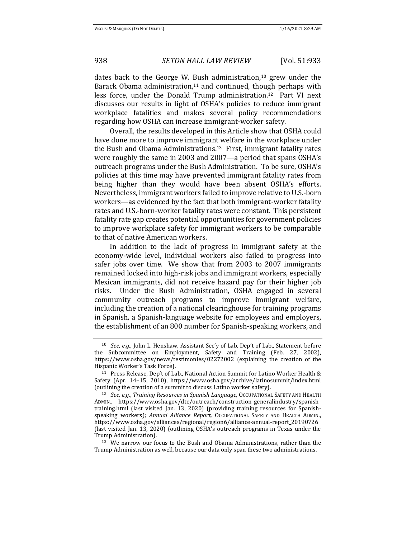dates back to the George W. Bush administration,<sup>10</sup> grew under the Barack Obama administration, $11$  and continued, though perhaps with less force, under the Donald Trump administration.12 Part VI next discusses our results in light of OSHA's policies to reduce immigrant workplace fatalities and makes several policy recommendations regarding how OSHA can increase immigrant-worker safety.

Overall, the results developed in this Article show that OSHA could have done more to improve immigrant welfare in the workplace under the Bush and Obama Administrations.13 First, immigrant fatality rates were roughly the same in 2003 and 2007—a period that spans OSHA's outreach programs under the Bush Administration. To be sure, OSHA's policies at this time may have prevented immigrant fatality rates from being higher than they would have been absent OSHA's efforts. Nevertheless, immigrant workers failed to improve relative to U.S.-born workers—as evidenced by the fact that both immigrant-worker fatality rates and U.S.-born-worker fatality rates were constant. This persistent fatality rate gap creates potential opportunities for government policies to improve workplace safety for immigrant workers to be comparable to that of native American workers.

In addition to the lack of progress in immigrant safety at the economy-wide level, individual workers also failed to progress into safer jobs over time. We show that from 2003 to 2007 immigrants remained locked into high-risk jobs and immigrant workers, especially Mexican immigrants, did not receive hazard pay for their higher job risks. Under the Bush Administration, OSHA engaged in several community outreach programs to improve immigrant welfare, including the creation of a national clearinghouse for training programs in Spanish, a Spanish-language website for employees and employers, the establishment of an 800 number for Spanish-speaking workers, and

<sup>13</sup> We narrow our focus to the Bush and Obama Administrations, rather than the Trump Administration as well, because our data only span these two administrations.

<sup>10</sup> *See, e.g.*, John L. Henshaw, Assistant Sec'y of Lab, Dep't of Lab., Statement before the Subcommittee on Employment, Safety and Training (Feb. 27, 2002), https://www.osha.gov/news/testimonies/02272002 (explaining the creation of the Hispanic Worker's Task Force).

<sup>11</sup> Press Release, Dep't of Lab., National Action Summit for Latino Worker Health & Safety (Apr. 14–15, 2010), https://www.osha.gov/archive/latinosummit/index.html (outlining the creation of a summit to discuss Latino worker safety).

<sup>12</sup> *See, e.g.*, *Training Resources in Spanish Language*, OCCUPATIONAL SAFETY AND HEALTH ADMIN., https://www.osha.gov/dte/outreach/construction\_generalindustry/spanish\_ training.html (last visited Jan. 13, 2020) (providing training resources for Spanishspeaking workers); *Annual Alliance Report*, OCCUPATIONAL SAFETY AND HEALTH ADMIN., https://www.osha.gov/alliances/regional/region6/alliance-annual-report\_20190726 (last visited Jan. 13, 2020) (outlining OSHA's outreach programs in Texas under the Trump Administration).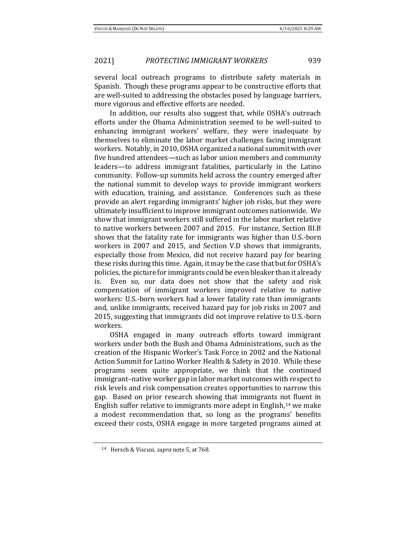several local outreach programs to distribute safety materials in Spanish. Though these programs appear to be constructive efforts that are well-suited to addressing the obstacles posed by language barriers, more vigorous and effective efforts are needed.

In addition, our results also suggest that, while OSHA's outreach efforts under the Obama Administration seemed to be well-suited to enhancing immigrant workers' welfare, they were inadequate by themselves to eliminate the labor market challenges facing immigrant workers. Notably, in 2010, OSHA organized a national summit with over five hundred attendees—such as labor union members and community leaders—to address immigrant fatalities, particularly in the Latino community. Follow-up summits held across the country emerged after the national summit to develop ways to provide immigrant workers with education, training, and assistance. Conferences such as these provide an alert regarding immigrants' higher job risks, but they were ultimately insufficient to improve immigrant outcomes nationwide. We show that immigrant workers still suffered in the labor market relative to native workers between 2007 and 2015. For instance, Section III.B shows that the fatality rate for immigrants was higher than U.S.-born workers in 2007 and 2015, and Section V.D shows that immigrants, especially those from Mexico, did not receive hazard pay for bearing these risks during this time. Again, it may be the case that but for OSHA's policies, the picture for immigrants could be even bleaker than it already is. Even so, our data does not show that the safety and risk compensation of immigrant workers improved relative to native workers: U.S.-born workers had a lower fatality rate than immigrants and, unlike immigrants, received hazard pay for job risks in 2007 and 2015, suggesting that immigrants did not improve relative to U.S.-born workers.

OSHA engaged in many outreach efforts toward immigrant workers under both the Bush and Obama Administrations, such as the creation of the Hispanic Worker's Task Force in 2002 and the National Action Summit for Latino Worker Health & Safety in 2010. While these programs seem quite appropriate, we think that the continued immigrant–native worker gap in labor market outcomes with respect to risk levels and risk compensation creates opportunities to narrow this gap. Based on prior research showing that immigrants not fluent in English suffer relative to immigrants more adept in English,<sup>14</sup> we make a modest recommendation that, so long as the programs' benefits exceed their costs, OSHA engage in more targeted programs aimed at

<sup>14</sup> Hersch & Viscusi, *supra* note 5, at 768.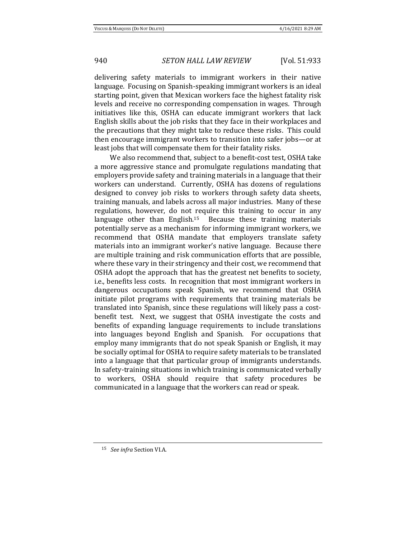delivering safety materials to immigrant workers in their native language. Focusing on Spanish-speaking immigrant workers is an ideal starting point, given that Mexican workers face the highest fatality risk levels and receive no corresponding compensation in wages. Through initiatives like this, OSHA can educate immigrant workers that lack English skills about the job risks that they face in their workplaces and the precautions that they might take to reduce these risks. This could then encourage immigrant workers to transition into safer jobs—or at least jobs that will compensate them for their fatality risks.

We also recommend that, subject to a benefit-cost test, OSHA take a more aggressive stance and promulgate regulations mandating that employers provide safety and training materials in a language that their workers can understand. Currently, OSHA has dozens of regulations designed to convey job risks to workers through safety data sheets, training manuals, and labels across all major industries. Many of these regulations, however, do not require this training to occur in any language other than English.<sup>15</sup> Because these training materials potentially serve as a mechanism for informing immigrant workers, we recommend that OSHA mandate that employers translate safety materials into an immigrant worker's native language. Because there are multiple training and risk communication efforts that are possible, where these vary in their stringency and their cost, we recommend that OSHA adopt the approach that has the greatest net benefits to society, i.e., benefits less costs. In recognition that most immigrant workers in dangerous occupations speak Spanish, we recommend that OSHA initiate pilot programs with requirements that training materials be translated into Spanish, since these regulations will likely pass a costbenefit test. Next, we suggest that OSHA investigate the costs and benefits of expanding language requirements to include translations into languages beyond English and Spanish. For occupations that employ many immigrants that do not speak Spanish or English, it may be socially optimal for OSHA to require safety materials to be translated into a language that that particular group of immigrants understands. In safety-training situations in which training is communicated verbally to workers, OSHA should require that safety procedures be communicated in a language that the workers can read or speak.

<sup>15</sup> *See infra* Section VI.A.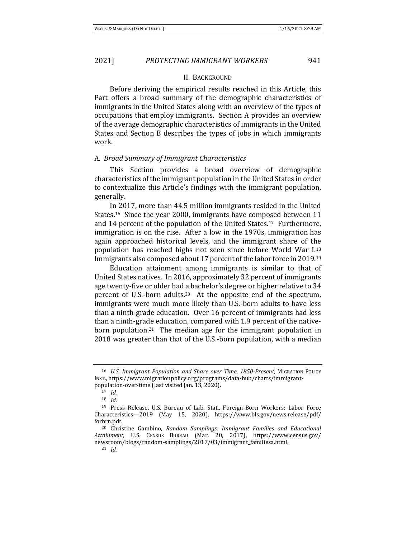#### II. BACKGROUND

Before deriving the empirical results reached in this Article, this Part offers a broad summary of the demographic characteristics of immigrants in the United States along with an overview of the types of occupations that employ immigrants. Section A provides an overview of the average demographic characteristics of immigrants in the United States and Section B describes the types of jobs in which immigrants work.

#### A. *Broad Summary of Immigrant Characteristics*

This Section provides a broad overview of demographic characteristics of the immigrant population in the United States in order to contextualize this Article's findings with the immigrant population, generally.

In 2017, more than 44.5 million immigrants resided in the United States.16 Since the year 2000, immigrants have composed between 11 and 14 percent of the population of the United States.17 Furthermore, immigration is on the rise. After a low in the 1970s, immigration has again approached historical levels, and the immigrant share of the population has reached highs not seen since before World War I.<sup>18</sup> Immigrants also composed about 17 percent of the labor force in 2019.<sup>19</sup>

Education attainment among immigrants is similar to that of United States natives. In 2016, approximately 32 percent of immigrants age twenty-five or older had a bachelor's degree or higher relative to 34 percent of U.S.-born adults.20 At the opposite end of the spectrum, immigrants were much more likely than U.S.-born adults to have less than a ninth-grade education. Over 16 percent of immigrants had less than a ninth-grade education, compared with 1.9 percent of the nativeborn population.<sup>21</sup> The median age for the immigrant population in 2018 was greater than that of the U.S.-born population, with a median

<sup>16</sup> *U.S. Immigrant Population and Share over Time, 1850-Present*, MIGRATION POLICY INST., https://www.migrationpolicy.org/programs/data-hub/charts/immigrantpopulation-over-time (last visited Jan. 13, 2020).

<sup>17</sup> *Id.* 

<sup>18</sup> *Id.* 

<sup>19</sup> Press Release, U.S. Bureau of Lab. Stat., Foreign-Born Workers: Labor Force Characteristics—2019 (May 15, 2020), https://www.bls.gov/news.release/pdf/ forbrn.pdf.

<sup>20</sup> Christine Gambino, *Random Samplings: Immigrant Families and Educational Attainment*, U.S. CENSUS BUREAU (Mar. 20, 2017), https://www.census.gov/ newsroom/blogs/random-samplings/2017/03/immigrant\_familiesa.html.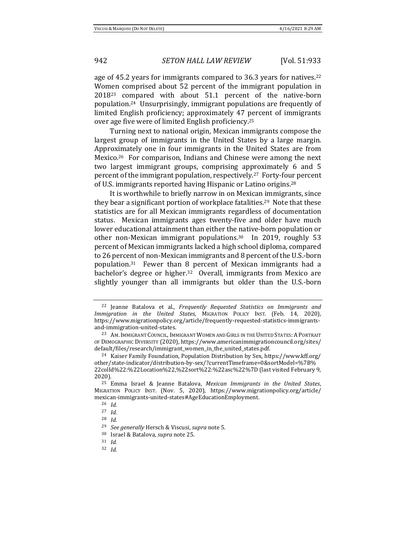age of 45.2 years for immigrants compared to 36.3 years for natives.<sup>22</sup> Women comprised about 52 percent of the immigrant population in 2018<sup>23</sup> compared with about 51.1 percent of the native-born population.24 Unsurprisingly, immigrant populations are frequently of limited English proficiency; approximately 47 percent of immigrants over age five were of limited English proficiency.<sup>25</sup>

Turning next to national origin, Mexican immigrants compose the largest group of immigrants in the United States by a large margin. Approximately one in four immigrants in the United States are from Mexico.26 For comparison, Indians and Chinese were among the next two largest immigrant groups, comprising approximately 6 and 5 percent of the immigrant population, respectively.27 Forty-four percent of U.S. immigrants reported having Hispanic or Latino origins.<sup>28</sup>

It is worthwhile to briefly narrow in on Mexican immigrants, since they bear a significant portion of workplace fatalities.<sup>29</sup> Note that these statistics are for all Mexican immigrants regardless of documentation status. Mexican immigrants ages twenty-five and older have much lower educational attainment than either the native-born population or other non-Mexican immigrant populations.30 In 2019, roughly 53 percent of Mexican immigrants lacked a high school diploma, compared to 26 percent of non-Mexican immigrants and 8 percent of the U.S.-born population.31 Fewer than 8 percent of Mexican immigrants had a bachelor's degree or higher.32 Overall, immigrants from Mexico are slightly younger than all immigrants but older than the U.S.-born

<sup>22</sup> Jeanne Batalova et al., *Frequently Requested Statistics on Immigrants and Immigration in the United States*, MIGRATION POLICY INST. (Feb. 14, 2020), https://www.migrationpolicy.org/article/frequently-requested-statistics-immigrantsand-immigration-united-states.

<sup>&</sup>lt;sup>23</sup> AM. IMMIGRANT COUNCIL, IMMIGRANT WOMEN AND GIRLS IN THE UNITED STATES: A PORTRAIT OF DEMOGRAPHIC DIVERSITY (2020), https://www.americanimmigrationcouncil.org/sites/ default/files/research/immigrant\_women\_in\_the\_united\_states.pdf.

<sup>24</sup> Kaiser Family Foundation, Population Distribution by Sex, https://www.kff.org/ other/state-indicator/distribution-by-sex/?currentTimeframe=0&sortModel=%7B% 22colId%22:%22Location%22,%22sort%22:%22asc%22%7D (last visited February 9, 2020).

<sup>25</sup> Emma Israel & Jeanne Batalova, *Mexican Immigrants in the United States*, MIGRATION POLICY INST. (Nov. 5, 2020), https://www.migrationpolicy.org/article/ mexican-immigrants-united-states#AgeEducationEmployment.

<sup>26</sup> *Id.* 

<sup>27</sup> *Id.*

<sup>28</sup> *Id.* 

<sup>29</sup> *See generally* Hersch & Viscusi, *supra* note 5.

<sup>30</sup> Israel & Batalova, *supra* note 25.

<sup>31</sup> *Id.* 

<sup>32</sup> *Id.*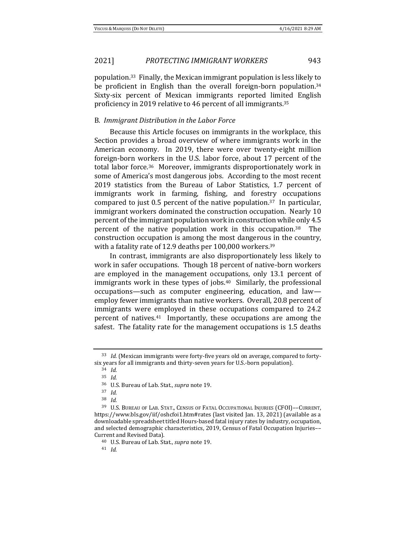population.33 Finally, the Mexican immigrant population is less likely to be proficient in English than the overall foreign-born population.<sup>34</sup> Sixty-six percent of Mexican immigrants reported limited English proficiency in 2019 relative to 46 percent of all immigrants.<sup>35</sup>

### B. *Immigrant Distribution in the Labor Force*

Because this Article focuses on immigrants in the workplace, this Section provides a broad overview of where immigrants work in the American economy. In 2019, there were over twenty-eight million foreign-born workers in the U.S. labor force, about 17 percent of the total labor force.36 Moreover, immigrants disproportionately work in some of America's most dangerous jobs. According to the most recent 2019 statistics from the Bureau of Labor Statistics, 1.7 percent of immigrants work in farming, fishing, and forestry occupations compared to just 0.5 percent of the native population.37 In particular, immigrant workers dominated the construction occupation. Nearly 10 percent of the immigrant population work in construction while only 4.5 percent of the native population work in this occupation.38 The construction occupation is among the most dangerous in the country, with a fatality rate of 12.9 deaths per 100,000 workers.<sup>39</sup>

In contrast, immigrants are also disproportionately less likely to work in safer occupations. Though 18 percent of native-born workers are employed in the management occupations, only 13.1 percent of immigrants work in these types of jobs.<sup>40</sup> Similarly, the professional occupations—such as computer engineering, education, and law employ fewer immigrants than native workers. Overall, 20.8 percent of immigrants were employed in these occupations compared to 24.2 percent of natives.41 Importantly, these occupations are among the safest. The fatality rate for the management occupations is 1.5 deaths

<sup>33</sup> *Id.* (Mexican immigrants were forty-five years old on average, compared to fortysix years for all immigrants and thirty-seven years for U.S.-born population).

<sup>34</sup> *Id.*

<sup>35</sup> *Id.* 

<sup>36</sup> U.S. Bureau of Lab. Stat., *supra* note 19.

<sup>37</sup> *Id.*

<sup>38</sup> *Id.*

<sup>39</sup> U.S. BUREAU OF LAB. STAT., CENSUS OF FATAL OCCUPATIONAL INJURIES (CFOI)––CURRENT, https://www.bls.gov/iif/oshcfoi1.htm#rates (last visited Jan. 13, 2021) (available as a downloadable spreadsheet titled Hours-based fatal injury rates by industry, occupation, and selected demographic characteristics, 2019, Census of Fatal Occupation Injuries–– Current and Revised Data).

<sup>40</sup> U.S. Bureau of Lab. Stat., *supra* note 19.

<sup>41</sup> *Id.*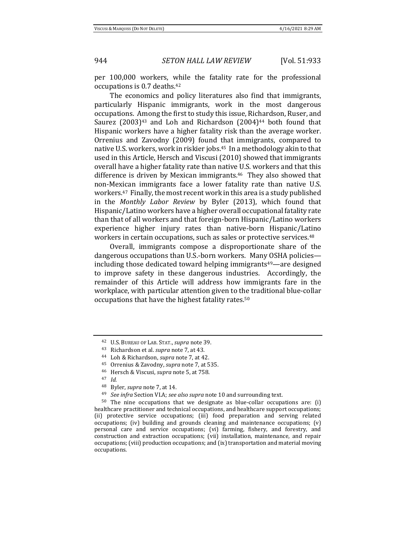per 100,000 workers, while the fatality rate for the professional occupations is 0.7 deaths.<sup>42</sup>

The economics and policy literatures also find that immigrants, particularly Hispanic immigrants, work in the most dangerous occupations. Among the first to study this issue, Richardson, Ruser, and Saurez  $(2003)^{43}$  and Loh and Richardson  $(2004)^{44}$  both found that Hispanic workers have a higher fatality risk than the average worker. Orrenius and Zavodny (2009) found that immigrants, compared to native U.S. workers, work in riskier jobs.<sup>45</sup> In a methodology akin to that used in this Article, Hersch and Viscusi (2010) showed that immigrants overall have a higher fatality rate than native U.S. workers and that this difference is driven by Mexican immigrants.46 They also showed that non-Mexican immigrants face a lower fatality rate than native U.S. workers.47 Finally, the most recent work in this area is a study published in the *Monthly Labor Review* by Byler (2013), which found that Hispanic/Latino workers have a higher overall occupational fatality rate than that of all workers and that foreign-born Hispanic/Latino workers experience higher injury rates than native-born Hispanic/Latino workers in certain occupations, such as sales or protective services.<sup>48</sup>

Overall, immigrants compose a disproportionate share of the dangerous occupations than U.S.-born workers. Many OSHA policies including those dedicated toward helping immigrants $49$ —are designed to improve safety in these dangerous industries. Accordingly, the remainder of this Article will address how immigrants fare in the workplace, with particular attention given to the traditional blue-collar occupations that have the highest fatality rates.<sup>50</sup>

<sup>42</sup> U.S. BUREAU OF LAB. STAT., *supra* note 39.

<sup>43</sup> Richardson et al. *supra* note 7, at 43.

<sup>44</sup> Loh & Richardson, *supra* note 7, at 42.

<sup>45</sup> Orrenius & Zavodny, *supra* note 7, at 535.

<sup>46</sup> Hersch & Viscusi, *supra* note 5, at 758.

<sup>47</sup> *Id.* 

<sup>48</sup> Byler, *supra* note 7, at 14.

<sup>49</sup> *See infra* Section VI.A; *see also supra* note 10 and surrounding text.

 $50$  The nine occupations that we designate as blue-collar occupations are: (i) healthcare practitioner and technical occupations, and healthcare support occupations; (ii) protective service occupations; (iii) food preparation and serving related occupations; (iv) building and grounds cleaning and maintenance occupations; (v) personal care and service occupations; (vi) farming, fishery, and forestry, and construction and extraction occupations; (vii) installation, maintenance, and repair occupations; (viii) production occupations; and (ix) transportation and material moving occupations.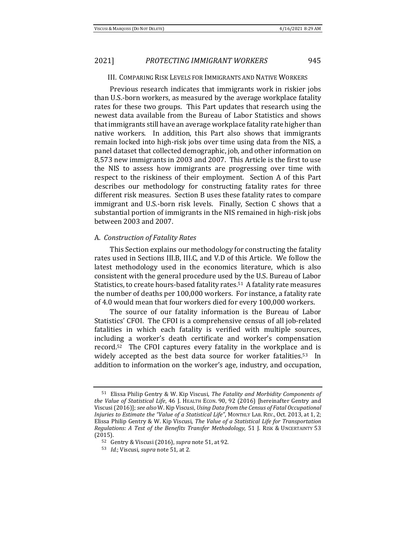### III. COMPARING RISK LEVELS FOR IMMIGRANTS AND NATIVE WORKERS

Previous research indicates that immigrants work in riskier jobs than U.S.-born workers, as measured by the average workplace fatality rates for these two groups. This Part updates that research using the newest data available from the Bureau of Labor Statistics and shows that immigrants still have an average workplace fatality rate higher than native workers. In addition, this Part also shows that immigrants remain locked into high-risk jobs over time using data from the NIS, a panel dataset that collected demographic, job, and other information on 8,573 new immigrants in 2003 and 2007. This Article is the first to use the NIS to assess how immigrants are progressing over time with respect to the riskiness of their employment. Section A of this Part describes our methodology for constructing fatality rates for three different risk measures. Section B uses these fatality rates to compare immigrant and U.S.-born risk levels. Finally, Section C shows that a substantial portion of immigrants in the NIS remained in high-risk jobs between 2003 and 2007.

#### A. *Construction of Fatality Rates*

This Section explains our methodology for constructing the fatality rates used in Sections III.B, III.C, and V.D of this Article. We follow the latest methodology used in the economics literature, which is also consistent with the general procedure used by the U.S. Bureau of Labor Statistics, to create hours-based fatality rates.51 A fatality rate measures the number of deaths per 100,000 workers. For instance, a fatality rate of 4.0 would mean that four workers died for every 100,000 workers.

The source of our fatality information is the Bureau of Labor Statistics' CFOI. The CFOI is a comprehensive census of all job-related fatalities in which each fatality is verified with multiple sources, including a worker's death certificate and worker's compensation record.52 The CFOI captures every fatality in the workplace and is widely accepted as the best data source for worker fatalities.<sup>53</sup> In addition to information on the worker's age, industry, and occupation,

<sup>51</sup> Elissa Philip Gentry & W. Kip Viscusi, *The Fatality and Morbidity Components of the Value of Statistical Life*, 46 J. HEALTH ECON. 90, 92 (2016) [hereinafter Gentry and Viscusi (2016)]; *see also* W. Kip Viscusi, *Using Data from the Census of Fatal Occupational Injuries to Estimate the "Value of a Statistical Life"*, MONTHLY LAB. REV., Oct. 2013, at 1, 2; Elissa Philip Gentry & W. Kip Viscusi, *The Value of a Statistical Life for Transportation Regulations: A Test of the Benefits Transfer Methodology,* 51 J. RISK & UNCERTAINTY 53 (2015).

<sup>52</sup> Gentry & Viscusi (2016), *supra* note 51, at 92.

<sup>53</sup> *Id.*; Viscusi, *supra* note 51, at 2.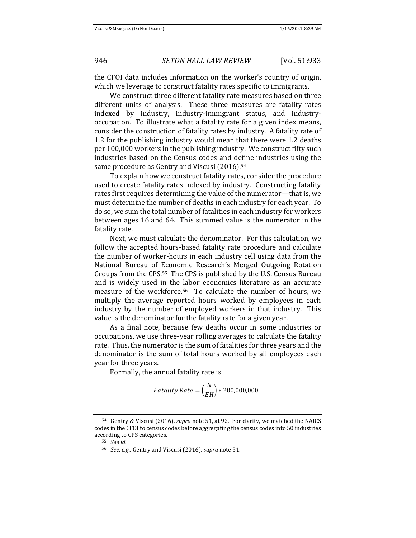the CFOI data includes information on the worker's country of origin, which we leverage to construct fatality rates specific to immigrants.

We construct three different fatality rate measures based on three different units of analysis. These three measures are fatality rates indexed by industry, industry-immigrant status, and industryoccupation. To illustrate what a fatality rate for a given index means, consider the construction of fatality rates by industry. A fatality rate of 1.2 for the publishing industry would mean that there were 1.2 deaths per 100,000 workers in the publishing industry. We construct fifty such industries based on the Census codes and define industries using the same procedure as Gentry and Viscusi (2016).<sup>54</sup>

To explain how we construct fatality rates, consider the procedure used to create fatality rates indexed by industry. Constructing fatality rates first requires determining the value of the numerator—that is, we must determine the number of deaths in each industry for each year. To do so, we sum the total number of fatalities in each industry for workers between ages 16 and 64. This summed value is the numerator in the fatality rate.

Next, we must calculate the denominator. For this calculation, we follow the accepted hours-based fatality rate procedure and calculate the number of worker-hours in each industry cell using data from the National Bureau of Economic Research's Merged Outgoing Rotation Groups from the CPS.55 The CPS is published by the U.S. Census Bureau and is widely used in the labor economics literature as an accurate measure of the workforce.56 To calculate the number of hours, we multiply the average reported hours worked by employees in each industry by the number of employed workers in that industry. This value is the denominator for the fatality rate for a given year.

As a final note, because few deaths occur in some industries or occupations, we use three-year rolling averages to calculate the fatality rate. Thus, the numerator is the sum of fatalities for three years and the denominator is the sum of total hours worked by all employees each year for three years.

Formally, the annual fatality rate is

$$
Fatality Rate = \left(\frac{N}{EH}\right) * 200,000,000
$$

<sup>54</sup> Gentry & Viscusi (2016), *supra* note 51, at 92. For clarity, we matched the NAICS codes in the CFOI to census codes before aggregating the census codes into 50 industries according to CPS categories.

<sup>55</sup> *See id.* 

<sup>56</sup> *See, e.g.*, Gentry and Viscusi (2016), *supra* note 51.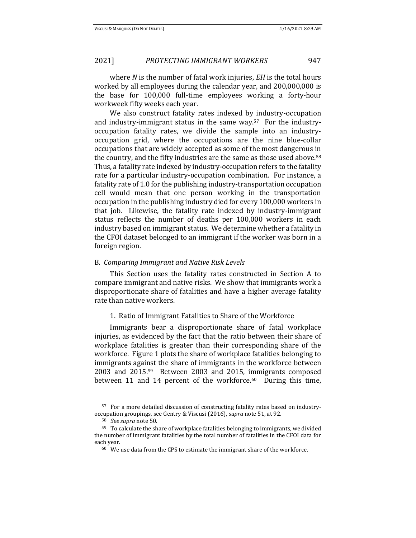where *N* is the number of fatal work injuries, *EH* is the total hours worked by all employees during the calendar year, and 200,000,000 is the base for 100,000 full-time employees working a forty-hour workweek fifty weeks each year.

We also construct fatality rates indexed by industry-occupation and industry-immigrant status in the same way.57 For the industryoccupation fatality rates, we divide the sample into an industryoccupation grid, where the occupations are the nine blue-collar occupations that are widely accepted as some of the most dangerous in the country, and the fifty industries are the same as those used above.<sup>58</sup> Thus, a fatality rate indexed by industry-occupation refers to the fatality rate for a particular industry-occupation combination. For instance, a fatality rate of 1.0 for the publishing industry-transportation occupation cell would mean that one person working in the transportation occupation in the publishing industry died for every 100,000 workers in that job. Likewise, the fatality rate indexed by industry-immigrant status reflects the number of deaths per 100,000 workers in each industry based on immigrant status. We determine whether a fatality in the CFOI dataset belonged to an immigrant if the worker was born in a foreign region.

#### B. *Comparing Immigrant and Native Risk Levels*

This Section uses the fatality rates constructed in Section A to compare immigrant and native risks. We show that immigrants work a disproportionate share of fatalities and have a higher average fatality rate than native workers.

### 1. Ratio of Immigrant Fatalities to Share of the Workforce

Immigrants bear a disproportionate share of fatal workplace injuries, as evidenced by the fact that the ratio between their share of workplace fatalities is greater than their corresponding share of the workforce. Figure 1 plots the share of workplace fatalities belonging to immigrants against the share of immigrants in the workforce between 2003 and 2015.59 Between 2003 and 2015, immigrants composed between 11 and 14 percent of the workforce.<sup>60</sup> During this time,

<sup>57</sup> For a more detailed discussion of constructing fatality rates based on industryoccupation groupings, see Gentry & Viscusi (2016), *supra* note 51, at 92.

<sup>58</sup> *See supra* note 50.

<sup>59</sup> To calculate the share of workplace fatalities belonging to immigrants, we divided the number of immigrant fatalities by the total number of fatalities in the CFOI data for each year.

 $^{60}\,$  We use data from the CPS to estimate the immigrant share of the workforce.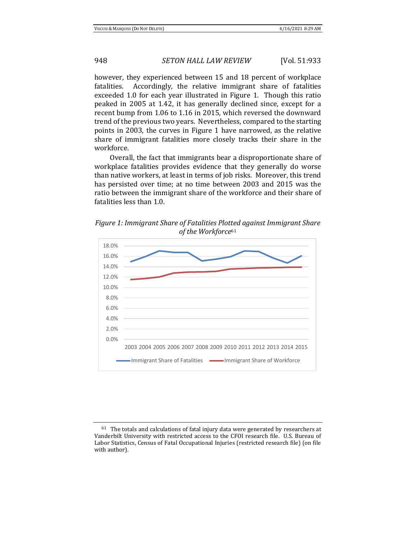however, they experienced between 15 and 18 percent of workplace fatalities. Accordingly, the relative immigrant share of fatalities exceeded 1.0 for each year illustrated in Figure 1. Though this ratio peaked in 2005 at 1.42, it has generally declined since, except for a recent bump from 1.06 to 1.16 in 2015, which reversed the downward trend of the previous two years. Nevertheless, compared to the starting points in 2003, the curves in Figure 1 have narrowed, as the relative share of immigrant fatalities more closely tracks their share in the workforce.

Overall, the fact that immigrants bear a disproportionate share of workplace fatalities provides evidence that they generally do worse than native workers, at least in terms of job risks. Moreover, this trend has persisted over time; at no time between 2003 and 2015 was the ratio between the immigrant share of the workforce and their share of fatalities less than 1.0.

*Figure 1: Immigrant Share of Fatalities Plotted against Immigrant Share of the Workforce*<sup>61</sup>



 $^{61}\,$  The totals and calculations of fatal injury data were generated by researchers at Vanderbilt University with restricted access to the CFOI research file. U.S. Bureau of Labor Statistics, Census of Fatal Occupational Injuries (restricted research file) (on file with author).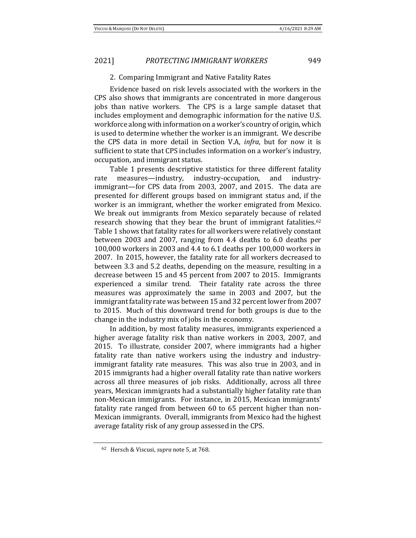### 2. Comparing Immigrant and Native Fatality Rates

Evidence based on risk levels associated with the workers in the CPS also shows that immigrants are concentrated in more dangerous jobs than native workers. The CPS is a large sample dataset that includes employment and demographic information for the native U.S. workforce along with information on a worker's country of origin, which is used to determine whether the worker is an immigrant. We describe the CPS data in more detail in Section V.A, *infra*, but for now it is sufficient to state that CPS includes information on a worker's industry, occupation, and immigrant status.

Table 1 presents descriptive statistics for three different fatality rate measures—industry, industry-occupation, and industryimmigrant—for CPS data from 2003, 2007, and 2015. The data are presented for different groups based on immigrant status and, if the worker is an immigrant, whether the worker emigrated from Mexico. We break out immigrants from Mexico separately because of related research showing that they bear the brunt of immigrant fatalities.<sup>62</sup> Table 1 shows that fatality rates for all workers were relatively constant between 2003 and 2007, ranging from 4.4 deaths to 6.0 deaths per 100,000 workers in 2003 and 4.4 to 6.1 deaths per 100,000 workers in 2007. In 2015, however, the fatality rate for all workers decreased to between 3.3 and 5.2 deaths, depending on the measure, resulting in a decrease between 15 and 45 percent from 2007 to 2015. Immigrants experienced a similar trend. Their fatality rate across the three measures was approximately the same in 2003 and 2007, but the immigrant fatality rate was between 15 and 32 percent lower from 2007 to 2015. Much of this downward trend for both groups is due to the change in the industry mix of jobs in the economy.

In addition, by most fatality measures, immigrants experienced a higher average fatality risk than native workers in 2003, 2007, and 2015. To illustrate, consider 2007, where immigrants had a higher fatality rate than native workers using the industry and industryimmigrant fatality rate measures. This was also true in 2003, and in 2015 immigrants had a higher overall fatality rate than native workers across all three measures of job risks. Additionally, across all three years, Mexican immigrants had a substantially higher fatality rate than non-Mexican immigrants. For instance, in 2015, Mexican immigrants' fatality rate ranged from between 60 to 65 percent higher than non-Mexican immigrants. Overall, immigrants from Mexico had the highest average fatality risk of any group assessed in the CPS.

<sup>62</sup> Hersch & Viscusi, *supra* note 5, at 768.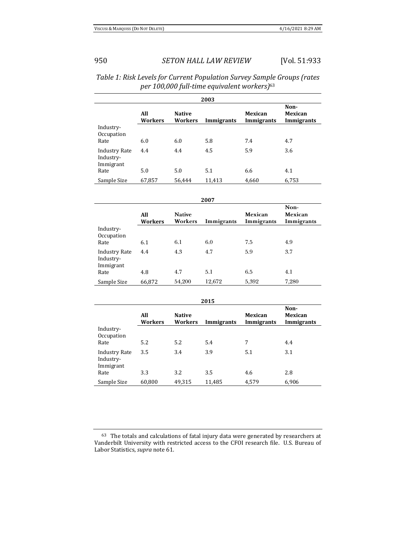| 2003                                           |                       |                          |            |                       |                               |
|------------------------------------------------|-----------------------|--------------------------|------------|-----------------------|-------------------------------|
|                                                | All<br><b>Workers</b> | <b>Native</b><br>Workers | Immigrants | Mexican<br>Immigrants | Non-<br>Mexican<br>Immigrants |
| Industry-<br>Occupation                        |                       |                          |            |                       |                               |
| Rate                                           | 6.0                   | 6.0                      | 5.8        | 7.4                   | 4.7                           |
| <b>Industry Rate</b><br>Industry-<br>Immigrant | 4.4                   | 4.4                      | 4.5        | 5.9                   | 3.6                           |
| Rate                                           | 5.0                   | 5.0                      | 5.1        | 6.6                   | 4.1                           |
| Sample Size                                    | 67,857                | 56,444                   | 11,413     | 4,660                 | 6,753                         |

| Table 1: Risk Levels for Current Population Survey Sample Groups (rates |
|-------------------------------------------------------------------------|
| per 100,000 full-time equivalent workers) <sup>63</sup>                 |

| ×<br>۰, | ۰. |  |
|---------|----|--|

|                                                | All<br>Workers | <b>Native</b><br>Workers | Immigrants | Mexican<br>Immigrants | Non-<br>Mexican<br>Immigrants |
|------------------------------------------------|----------------|--------------------------|------------|-----------------------|-------------------------------|
| Industry-<br>Occupation                        |                |                          |            |                       |                               |
| Rate                                           | 6.1            | 6.1                      | 6.0        | 7.5                   | 4.9                           |
| <b>Industry Rate</b><br>Industry-<br>Immigrant | 4.4            | 4.3                      | 4.7        | 5.9                   | 3.7                           |
| Rate                                           | 4.8            | 4.7                      | 5.1        | 6.5                   | 4.1                           |
| Sample Size                                    | 66,872         | 54,200                   | 12,672     | 5,392                 | 7,280                         |

| 2015                                           |                       |                          |            |                       |                               |
|------------------------------------------------|-----------------------|--------------------------|------------|-----------------------|-------------------------------|
|                                                | All<br><b>Workers</b> | <b>Native</b><br>Workers | Immigrants | Mexican<br>Immigrants | Non-<br>Mexican<br>Immigrants |
| Industry-<br>Occupation<br>Rate                | 5.2                   | 5.2                      | 5.4        | 7                     | 4.4                           |
| <b>Industry Rate</b><br>Industry-<br>Immigrant | 3.5                   | 3.4                      | 3.9        | 5.1                   | 3.1                           |
| Rate                                           | 3.3                   | 3.2                      | 3.5        | 4.6                   | 2.8                           |
| Sample Size                                    | 60,800                | 49,315                   | 11,485     | 4,579                 | 6,906                         |

 $^{63}\,$  The totals and calculations of fatal injury data were generated by researchers at Vanderbilt University with restricted access to the CFOI research file. U.S. Bureau of Labor Statistics, *supra* note 61.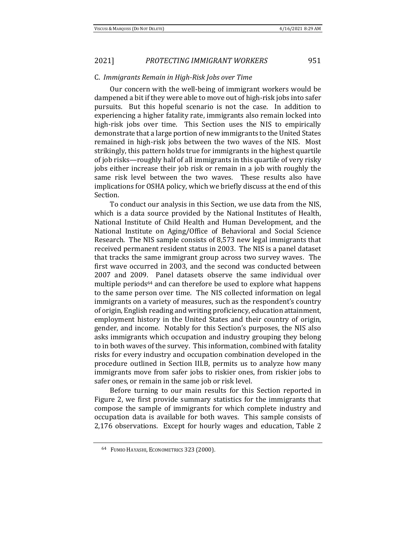#### C. *Immigrants Remain in High-Risk Jobs over Time*

Our concern with the well-being of immigrant workers would be dampened a bit if they were able to move out of high-risk jobs into safer pursuits. But this hopeful scenario is not the case. In addition to experiencing a higher fatality rate, immigrants also remain locked into high-risk jobs over time. This Section uses the NIS to empirically demonstrate that a large portion of new immigrants to the United States remained in high-risk jobs between the two waves of the NIS. Most strikingly, this pattern holds true for immigrants in the highest quartile of job risks—roughly half of all immigrants in this quartile of very risky jobs either increase their job risk or remain in a job with roughly the same risk level between the two waves. These results also have implications for OSHA policy, which we briefly discuss at the end of this Section.

To conduct our analysis in this Section, we use data from the NIS, which is a data source provided by the National Institutes of Health, National Institute of Child Health and Human Development, and the National Institute on Aging/Office of Behavioral and Social Science Research. The NIS sample consists of 8,573 new legal immigrants that received permanent resident status in 2003. The NIS is a panel dataset that tracks the same immigrant group across two survey waves. The first wave occurred in 2003, and the second was conducted between 2007 and 2009. Panel datasets observe the same individual over multiple periods<sup>64</sup> and can therefore be used to explore what happens to the same person over time. The NIS collected information on legal immigrants on a variety of measures, such as the respondent's country of origin, English reading and writing proficiency, education attainment, employment history in the United States and their country of origin, gender, and income. Notably for this Section's purposes, the NIS also asks immigrants which occupation and industry grouping they belong to in both waves of the survey. This information, combined with fatality risks for every industry and occupation combination developed in the procedure outlined in Section III.B, permits us to analyze how many immigrants move from safer jobs to riskier ones, from riskier jobs to safer ones, or remain in the same job or risk level.

Before turning to our main results for this Section reported in Figure 2, we first provide summary statistics for the immigrants that compose the sample of immigrants for which complete industry and occupation data is available for both waves. This sample consists of 2,176 observations. Except for hourly wages and education, Table 2

<sup>64</sup> FUMIO HAYASHI, ECONOMETRICS 323 (2000).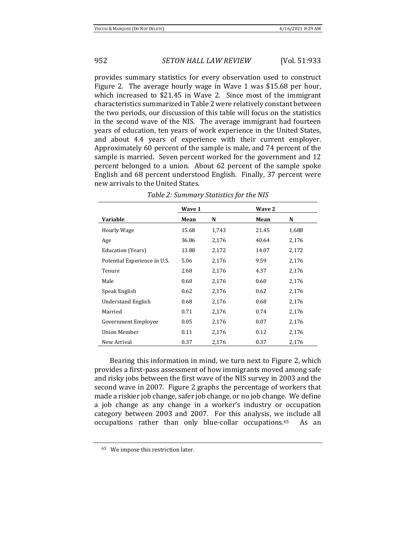provides summary statistics for every observation used to construct Figure 2. The average hourly wage in Wave 1 was \$15.68 per hour, which increased to \$21.45 in Wave 2. Since most of the immigrant characteristics summarized in Table 2 were relatively constant between the two periods, our discussion of this table will focus on the statistics in the second wave of the NIS. The average immigrant had fourteen years of education, ten years of work experience in the United States, and about 4.4 years of experience with their current employer. Approximately 60 percent of the sample is male, and 74 percent of the sample is married. Seven percent worked for the government and 12 percent belonged to a union. About 62 percent of the sample spoke English and 68 percent understood English. Finally, 37 percent were new arrivals to the United States.

|                              | Wave 1 |       | Wave 2 |       |
|------------------------------|--------|-------|--------|-------|
| Variable                     | Mean   | N     | Mean   | N     |
| <b>Hourly Wage</b>           | 15.68  | 1,743 | 21.45  | 1,688 |
| Age                          | 36.86  | 2,176 | 40.64  | 2,176 |
| Education (Years)            | 13.88  | 2,172 | 14.07  | 2,172 |
| Potential Experience in U.S. | 5.06   | 2,176 | 9.59   | 2,176 |
| Tenure                       | 2.68   | 2,176 | 4.37   | 2,176 |
| Male                         | 0.60   | 2,176 | 0.60   | 2,176 |
| Speak English                | 0.62   | 2,176 | 0.62   | 2,176 |
| Understand English           | 0.68   | 2,176 | 0.68   | 2,176 |
| Married                      | 0.71   | 2,176 | 0.74   | 2,176 |
| <b>Government Employee</b>   | 0.05   | 2,176 | 0.07   | 2,176 |
| Union Member                 | 0.11   | 2,176 | 0.12   | 2,176 |
| New Arrival                  | 0.37   | 2,176 | 0.37   | 2,176 |

| Table 2: Summary Statistics for the NIS |  |  |
|-----------------------------------------|--|--|
|-----------------------------------------|--|--|

Bearing this information in mind, we turn next to Figure 2, which provides a first-pass assessment of how immigrants moved among safe and risky jobs between the first wave of the NIS survey in 2003 and the second wave in 2007. Figure 2 graphs the percentage of workers that made a riskier job change, safer job change, or no job change. We define a job change as any change in a worker's industry or occupation category between 2003 and 2007. For this analysis, we include all occupations rather than only blue-collar occupations.65 As an

<sup>65</sup> We impose this restriction later.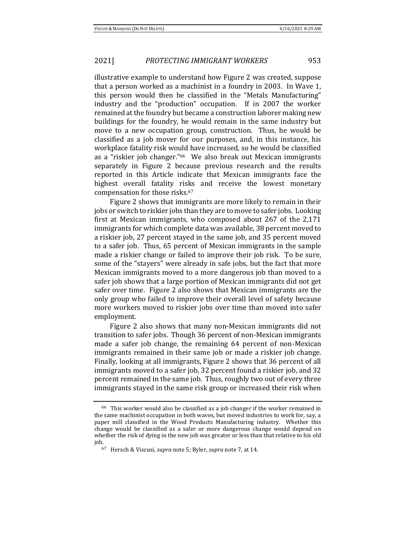illustrative example to understand how Figure 2 was created, suppose that a person worked as a machinist in a foundry in 2003. In Wave 1, this person would then be classified in the "Metals Manufacturing" industry and the "production" occupation. If in 2007 the worker remained at the foundry but became a construction laborer making new buildings for the foundry, he would remain in the same industry but move to a new occupation group, construction. Thus, he would be classified as a job mover for our purposes, and, in this instance, his workplace fatality risk would have increased, so he would be classified as a "riskier job changer."66 We also break out Mexican immigrants separately in Figure 2 because previous research and the results reported in this Article indicate that Mexican immigrants face the highest overall fatality risks and receive the lowest monetary compensation for those risks.<sup>67</sup>

Figure 2 shows that immigrants are more likely to remain in their jobs or switch to riskier jobs than they are to move to safer jobs. Looking first at Mexican immigrants, who composed about 267 of the 2,171 immigrants for which complete data was available, 38 percent moved to a riskier job, 27 percent stayed in the same job, and 35 percent moved to a safer job. Thus, 65 percent of Mexican immigrants in the sample made a riskier change or failed to improve their job risk. To be sure, some of the "stayers" were already in safe jobs, but the fact that more Mexican immigrants moved to a more dangerous job than moved to a safer job shows that a large portion of Mexican immigrants did not get safer over time. Figure 2 also shows that Mexican immigrants are the only group who failed to improve their overall level of safety because more workers moved to riskier jobs over time than moved into safer employment.

Figure 2 also shows that many non-Mexican immigrants did not transition to safer jobs. Though 36 percent of non-Mexican immigrants made a safer job change, the remaining 64 percent of non-Mexican immigrants remained in their same job or made a riskier job change. Finally, looking at all immigrants, Figure 2 shows that 36 percent of all immigrants moved to a safer job, 32 percent found a riskier job, and 32 percent remained in the same job. Thus, roughly two out of every three immigrants stayed in the same risk group or increased their risk when

<sup>66</sup> This worker would also be classified as a job changer if the worker remained in the same machinist occupation in both waves, but moved industries to work for, say, a paper mill classified in the Wood Products Manufacturing industry. Whether this change would be classified as a safer or more dangerous change would depend on whether the risk of dying in the new job was greater or less than that relative to his old job.

<sup>67</sup> Hersch & Viscusi, *supra* note 5; Byler, *supra* note 7, at 14.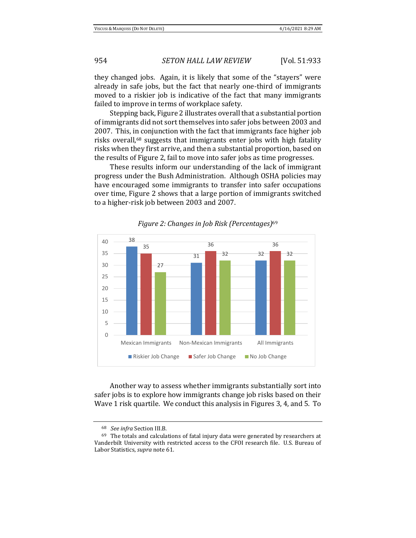they changed jobs. Again, it is likely that some of the "stayers" were already in safe jobs, but the fact that nearly one-third of immigrants moved to a riskier job is indicative of the fact that many immigrants failed to improve in terms of workplace safety.

Stepping back, Figure 2 illustrates overall that a substantial portion of immigrants did not sort themselves into safer jobs between 2003 and 2007. This, in conjunction with the fact that immigrants face higher job risks overall,<sup>68</sup> suggests that immigrants enter jobs with high fatality risks when they first arrive, and then a substantial proportion, based on the results of Figure 2, fail to move into safer jobs as time progresses.

These results inform our understanding of the lack of immigrant progress under the Bush Administration. Although OSHA policies may have encouraged some immigrants to transfer into safer occupations over time, Figure 2 shows that a large portion of immigrants switched to a higher-risk job between 2003 and 2007.



*Figure 2: Changes in Job Risk (Percentages)*<sup>69</sup>

Another way to assess whether immigrants substantially sort into safer jobs is to explore how immigrants change job risks based on their Wave 1 risk quartile. We conduct this analysis in Figures 3, 4, and 5. To

<sup>68</sup> *See infra* Section III.B*.* 

 $69$  The totals and calculations of fatal injury data were generated by researchers at Vanderbilt University with restricted access to the CFOI research file. U.S. Bureau of Labor Statistics, *supra* note 61.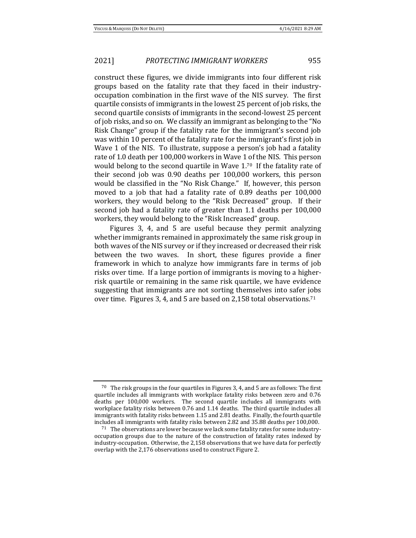construct these figures, we divide immigrants into four different risk groups based on the fatality rate that they faced in their industryoccupation combination in the first wave of the NIS survey. The first quartile consists of immigrants in the lowest 25 percent of job risks, the second quartile consists of immigrants in the second-lowest 25 percent of job risks, and so on. We classify an immigrant as belonging to the "No Risk Change" group if the fatality rate for the immigrant's second job was within 10 percent of the fatality rate for the immigrant's first job in Wave 1 of the NIS. To illustrate, suppose a person's job had a fatality rate of 1.0 death per 100,000 workers in Wave 1 of the NIS. This person would belong to the second quartile in Wave 1.70 If the fatality rate of their second job was 0.90 deaths per 100,000 workers, this person would be classified in the "No Risk Change." If, however, this person moved to a job that had a fatality rate of 0.89 deaths per 100,000 workers, they would belong to the "Risk Decreased" group. If their second job had a fatality rate of greater than 1.1 deaths per 100,000 workers, they would belong to the "Risk Increased" group.

Figures 3, 4, and 5 are useful because they permit analyzing whether immigrants remained in approximately the same risk group in both waves of the NIS survey or if they increased or decreased their risk between the two waves. In short, these figures provide a finer framework in which to analyze how immigrants fare in terms of job risks over time. If a large portion of immigrants is moving to a higherrisk quartile or remaining in the same risk quartile, we have evidence suggesting that immigrants are not sorting themselves into safer jobs over time. Figures 3, 4, and 5 are based on 2,158 total observations.<sup>71</sup>

<sup>&</sup>lt;sup>70</sup> The risk groups in the four quartiles in Figures 3, 4, and 5 are as follows: The first quartile includes all immigrants with workplace fatality risks between zero and 0.76 deaths per 100,000 workers. The second quartile includes all immigrants with workplace fatality risks between 0.76 and 1.14 deaths. The third quartile includes all immigrants with fatality risks between 1.15 and 2.81 deaths. Finally, the fourth quartile includes all immigrants with fatality risks between 2.82 and 35.88 deaths per 100,000.

 $71$  The observations are lower because we lack some fatality rates for some industryoccupation groups due to the nature of the construction of fatality rates indexed by industry-occupation. Otherwise, the 2,158 observations that we have data for perfectly overlap with the 2,176 observations used to construct Figure 2.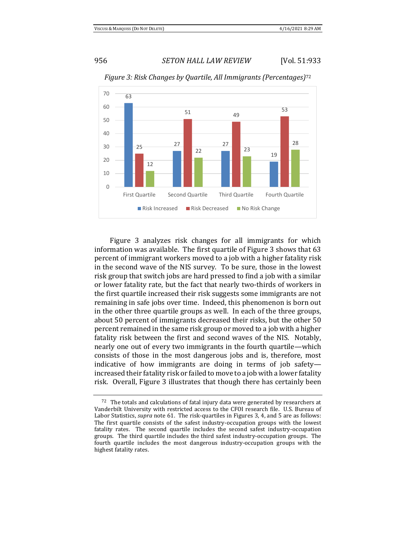

*Figure 3: Risk Changes by Quartile, All Immigrants (Percentages)*<sup>72</sup>

Figure 3 analyzes risk changes for all immigrants for which information was available. The first quartile of Figure 3 shows that 63 percent of immigrant workers moved to a job with a higher fatality risk in the second wave of the NIS survey. To be sure, those in the lowest risk group that switch jobs are hard pressed to find a job with a similar or lower fatality rate, but the fact that nearly two-thirds of workers in the first quartile increased their risk suggests some immigrants are not remaining in safe jobs over time. Indeed, this phenomenon is born out in the other three quartile groups as well. In each of the three groups, about 50 percent of immigrants decreased their risks, but the other 50 percent remained in the same risk group or moved to a job with a higher fatality risk between the first and second waves of the NIS. Notably, nearly one out of every two immigrants in the fourth quartile—which consists of those in the most dangerous jobs and is, therefore, most indicative of how immigrants are doing in terms of job safety increased their fatality risk or failed to move to a job with a lower fatality risk. Overall, Figure 3 illustrates that though there has certainly been

 $72$  The totals and calculations of fatal injury data were generated by researchers at Vanderbilt University with restricted access to the CFOI research file. U.S. Bureau of Labor Statistics, *supra* note 61. The risk-quartiles in Figures 3, 4, and 5 are as follows: The first quartile consists of the safest industry-occupation groups with the lowest fatality rates. The second quartile includes the second safest industry-occupation groups. The third quartile includes the third safest industry-occupation groups. The fourth quartile includes the most dangerous industry-occupation groups with the highest fatality rates.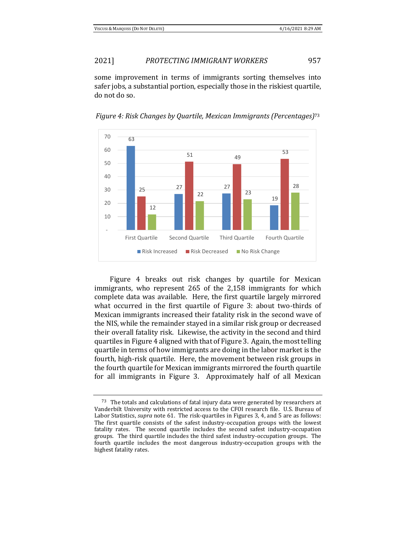some improvement in terms of immigrants sorting themselves into safer jobs, a substantial portion, especially those in the riskiest quartile, do not do so.

*Figure 4: Risk Changes by Quartile, Mexican Immigrants (Percentages)*<sup>73</sup>



Figure 4 breaks out risk changes by quartile for Mexican immigrants, who represent 265 of the 2,158 immigrants for which complete data was available. Here, the first quartile largely mirrored what occurred in the first quartile of Figure 3: about two-thirds of Mexican immigrants increased their fatality risk in the second wave of the NIS, while the remainder stayed in a similar risk group or decreased their overall fatality risk. Likewise, the activity in the second and third quartiles in Figure 4 aligned with that of Figure 3. Again, the most telling quartile in terms of how immigrants are doing in the labor market is the fourth, high-risk quartile. Here, the movement between risk groups in the fourth quartile for Mexican immigrants mirrored the fourth quartile for all immigrants in Figure 3. Approximately half of all Mexican

 $73$  The totals and calculations of fatal injury data were generated by researchers at Vanderbilt University with restricted access to the CFOI research file. U.S. Bureau of Labor Statistics, *supra* note 61. The risk-quartiles in Figures 3, 4, and 5 are as follows: The first quartile consists of the safest industry-occupation groups with the lowest fatality rates. The second quartile includes the second safest industry-occupation groups. The third quartile includes the third safest industry-occupation groups. The fourth quartile includes the most dangerous industry-occupation groups with the highest fatality rates.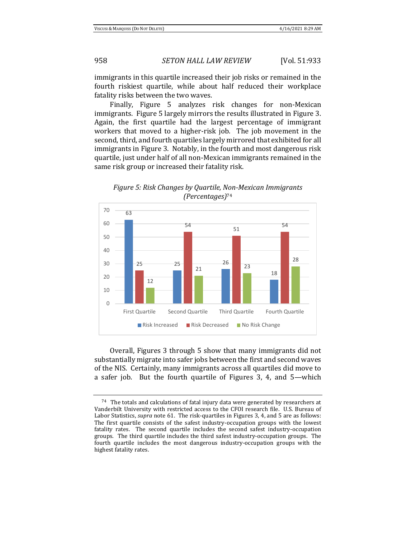immigrants in this quartile increased their job risks or remained in the fourth riskiest quartile, while about half reduced their workplace fatality risks between the two waves.

Finally, Figure 5 analyzes risk changes for non-Mexican immigrants. Figure 5 largely mirrors the results illustrated in Figure 3. Again, the first quartile had the largest percentage of immigrant workers that moved to a higher-risk job. The job movement in the second, third, and fourth quartiles largely mirrored that exhibited for all immigrants in Figure 3. Notably, in the fourth and most dangerous risk quartile, just under half of all non-Mexican immigrants remained in the same risk group or increased their fatality risk.



*Figure 5: Risk Changes by Quartile, Non-Mexican Immigrants (Percentages)*<sup>74</sup>

Overall, Figures 3 through 5 show that many immigrants did not substantially migrate into safer jobs between the first and second waves of the NIS. Certainly, many immigrants across all quartiles did move to a safer job. But the fourth quartile of Figures 3, 4, and 5—which

 $74$  The totals and calculations of fatal injury data were generated by researchers at Vanderbilt University with restricted access to the CFOI research file. U.S. Bureau of Labor Statistics, *supra* note 61. The risk-quartiles in Figures 3, 4, and 5 are as follows: The first quartile consists of the safest industry-occupation groups with the lowest fatality rates. The second quartile includes the second safest industry-occupation groups. The third quartile includes the third safest industry-occupation groups. The fourth quartile includes the most dangerous industry-occupation groups with the highest fatality rates.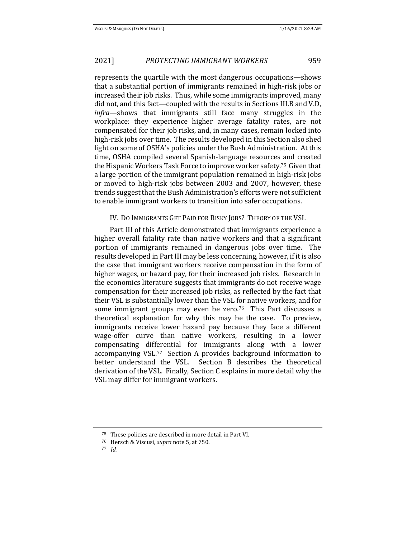represents the quartile with the most dangerous occupations—shows that a substantial portion of immigrants remained in high-risk jobs or increased their job risks. Thus, while some immigrants improved, many did not, and this fact—coupled with the results in Sections III.B and V.D, *infra*—shows that immigrants still face many struggles in the workplace: they experience higher average fatality rates, are not compensated for their job risks, and, in many cases, remain locked into high-risk jobs over time. The results developed in this Section also shed light on some of OSHA's policies under the Bush Administration. At this time, OSHA compiled several Spanish-language resources and created the Hispanic Workers Task Force to improve worker safety.75 Given that a large portion of the immigrant population remained in high-risk jobs or moved to high-risk jobs between 2003 and 2007, however, these trends suggest that the Bush Administration's efforts were not sufficient to enable immigrant workers to transition into safer occupations.

#### IV. DO IMMIGRANTS GET PAID FOR RISKY JOBS? THEORY OF THE VSL

Part III of this Article demonstrated that immigrants experience a higher overall fatality rate than native workers and that a significant portion of immigrants remained in dangerous jobs over time. The results developed in Part III may be less concerning, however, if it is also the case that immigrant workers receive compensation in the form of higher wages, or hazard pay, for their increased job risks. Research in the economics literature suggests that immigrants do not receive wage compensation for their increased job risks, as reflected by the fact that their VSL is substantially lower than the VSL for native workers, and for some immigrant groups may even be zero.<sup>76</sup> This Part discusses a theoretical explanation for why this may be the case. To preview, immigrants receive lower hazard pay because they face a different wage-offer curve than native workers, resulting in a lower compensating differential for immigrants along with a lower accompanying VSL.77 Section A provides background information to better understand the VSL. Section B describes the theoretical derivation of the VSL. Finally, Section C explains in more detail why the VSL may differ for immigrant workers.

<sup>75</sup> These policies are described in more detail in Part VI.

<sup>76</sup> Hersch & Viscusi, *supra* note 5, at 750.

<sup>77</sup> *Id.*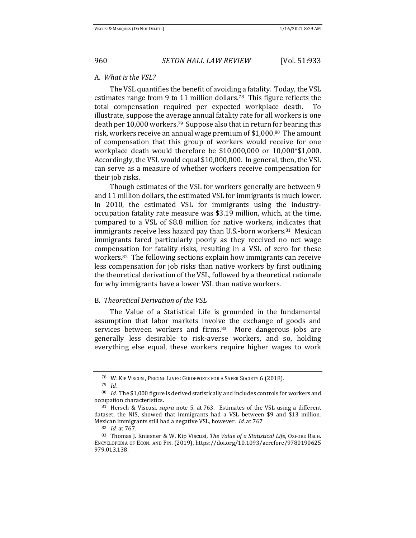#### A. *What is the VSL?*

The VSL quantifies the benefit of avoiding a fatality. Today, the VSL estimates range from 9 to 11 million dollars.78 This figure reflects the total compensation required per expected workplace death. To illustrate, suppose the average annual fatality rate for all workers is one death per 10,000 workers.79 Suppose also that in return for bearing this risk, workers receive an annual wage premium of \$1,000.80 The amount of compensation that this group of workers would receive for one workplace death would therefore be \$10,000,000 or 10,000\*\$1,000. Accordingly, the VSL would equal \$10,000,000. In general, then, the VSL can serve as a measure of whether workers receive compensation for their job risks.

Though estimates of the VSL for workers generally are between 9 and 11 million dollars, the estimated VSL for immigrants is much lower. In 2010, the estimated VSL for immigrants using the industryoccupation fatality rate measure was \$3.19 million, which, at the time, compared to a VSL of \$8.8 million for native workers, indicates that immigrants receive less hazard pay than U.S.-born workers.81 Mexican immigrants fared particularly poorly as they received no net wage compensation for fatality risks, resulting in a VSL of zero for these workers.82 The following sections explain how immigrants can receive less compensation for job risks than native workers by first outlining the theoretical derivation of the VSL, followed by a theoretical rationale for why immigrants have a lower VSL than native workers.

#### B. *Theoretical Derivation of the VSL*

The Value of a Statistical Life is grounded in the fundamental assumption that labor markets involve the exchange of goods and services between workers and firms.<sup>83</sup> More dangerous jobs are generally less desirable to risk-averse workers, and so, holding everything else equal, these workers require higher wages to work

<sup>78</sup> W. KIP VISCUSI, PRICING LIVES: GUIDEPOSTS FOR A SAFER SOCIETY 6 (2018).

<sup>79</sup> *Id.* 

<sup>80</sup> *Id.* The \$1,000 figure is derived statistically and includes controls for workers and occupation characteristics.

<sup>81</sup> Hersch & Viscusi, *supra* note 5, at 763. Estimates of the VSL using a different dataset, the NIS, showed that immigrants had a VSL between \$9 and \$13 million. Mexican immigrants still had a negative VSL, however. *Id.* at 767

<sup>82</sup> *Id.* at 767.

<sup>83</sup> Thomas J. Kniesner & W. Kip Viscusi, *The Value of a Statistical Life*, OXFORD RSCH. ENCYCLOPEDIA OF ECON. AND FIN. (2019), https://doi.org/10.1093/acrefore/9780190625 979.013.138.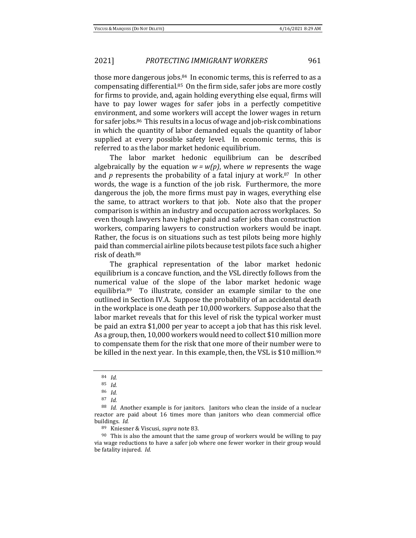those more dangerous jobs.84 In economic terms, this is referred to as a compensating differential.85 On the firm side, safer jobs are more costly for firms to provide, and, again holding everything else equal, firms will have to pay lower wages for safer jobs in a perfectly competitive environment, and some workers will accept the lower wages in return for safer jobs.86 This results in a locus of wage and job-risk combinations in which the quantity of labor demanded equals the quantity of labor supplied at every possible safety level. In economic terms, this is referred to as the labor market hedonic equilibrium.

The labor market hedonic equilibrium can be described algebraically by the equation  $w = w(p)$ , where *w* represents the wage and  $p$  represents the probability of a fatal injury at work.<sup>87</sup> In other words, the wage is a function of the job risk. Furthermore, the more dangerous the job, the more firms must pay in wages, everything else the same, to attract workers to that job. Note also that the proper comparison is within an industry and occupation across workplaces. So even though lawyers have higher paid and safer jobs than construction workers, comparing lawyers to construction workers would be inapt. Rather, the focus is on situations such as test pilots being more highly paid than commercial airline pilots because test pilots face such a higher risk of death.<sup>88</sup>

The graphical representation of the labor market hedonic equilibrium is a concave function, and the VSL directly follows from the numerical value of the slope of the labor market hedonic wage equilibria.89 To illustrate, consider an example similar to the one outlined in Section IV.A. Suppose the probability of an accidental death in the workplace is one death per 10,000 workers. Suppose also that the labor market reveals that for this level of risk the typical worker must be paid an extra \$1,000 per year to accept a job that has this risk level. As a group, then, 10,000 workers would need to collect \$10 million more to compensate them for the risk that one more of their number were to be killed in the next year. In this example, then, the VSL is \$10 million.<sup>90</sup>

<sup>84</sup> *Id.* 

<sup>85</sup> *Id.* 

<sup>86</sup> *Id.* 

<sup>87</sup> *Id.* 

<sup>88</sup> *Id.* Another example is for janitors. Janitors who clean the inside of a nuclear reactor are paid about 16 times more than janitors who clean commercial office buildings. *Id.* 

<sup>89</sup> Kniesner & Viscusi, *supra* note 83.

 $90$  This is also the amount that the same group of workers would be willing to pay via wage reductions to have a safer job where one fewer worker in their group would be fatality injured. *Id.*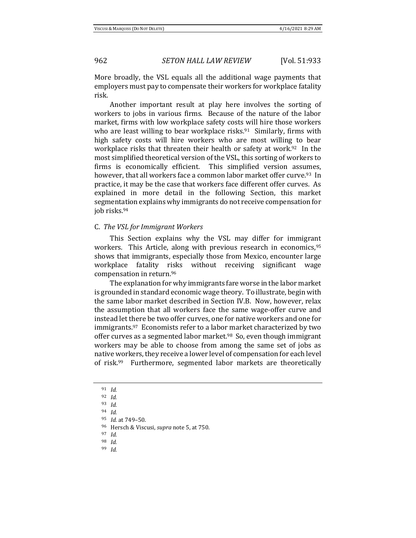More broadly, the VSL equals all the additional wage payments that employers must pay to compensate their workers for workplace fatality risk.

Another important result at play here involves the sorting of workers to jobs in various firms. Because of the nature of the labor market, firms with low workplace safety costs will hire those workers who are least willing to bear workplace risks.<sup>91</sup> Similarly, firms with high safety costs will hire workers who are most willing to bear workplace risks that threaten their health or safety at work.<sup>92</sup> In the most simplified theoretical version of the VSL, this sorting of workers to firms is economically efficient. This simplified version assumes, however, that all workers face a common labor market offer curve.<sup>93</sup> In practice, it may be the case that workers face different offer curves. As explained in more detail in the following Section, this market segmentation explains why immigrants do not receive compensation for job risks.<sup>94</sup>

#### C. *The VSL for Immigrant Workers*

This Section explains why the VSL may differ for immigrant workers. This Article, along with previous research in economics, 95 shows that immigrants, especially those from Mexico, encounter large workplace fatality risks without receiving significant wage compensation in return.<sup>96</sup>

The explanation for why immigrants fare worse in the labor market is grounded in standard economic wage theory. To illustrate, begin with the same labor market described in Section IV.B. Now, however, relax the assumption that all workers face the same wage-offer curve and instead let there be two offer curves, one for native workers and one for immigrants.97 Economists refer to a labor market characterized by two offer curves as a segmented labor market.<sup>98</sup> So, even though immigrant workers may be able to choose from among the same set of jobs as native workers, they receive a lower level of compensation for each level of risk.99 Furthermore, segmented labor markets are theoretically

<sup>97</sup> *Id*.

<sup>99</sup> *Id.* 

<sup>91</sup> *Id.*

<sup>92</sup> *Id.* 

<sup>93</sup> *Id.* 

<sup>94</sup> *Id.* 

<sup>95</sup> *Id.* at 749–50.

<sup>96</sup> Hersch & Viscusi, *supra* note 5, at 750.

<sup>98</sup> *Id.*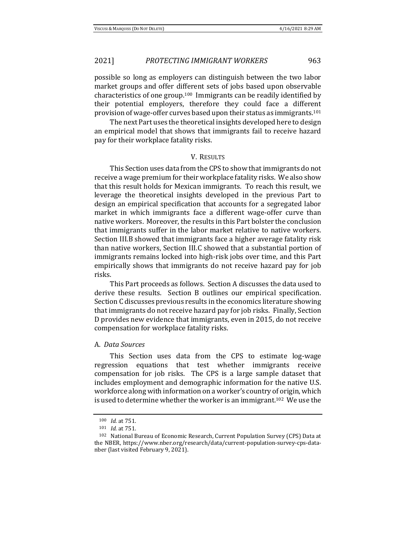possible so long as employers can distinguish between the two labor market groups and offer different sets of jobs based upon observable characteristics of one group.<sup>100</sup> Immigrants can be readily identified by their potential employers, therefore they could face a different provision of wage-offer curves based upon their status as immigrants.<sup>101</sup>

The next Part uses the theoretical insights developed here to design an empirical model that shows that immigrants fail to receive hazard pay for their workplace fatality risks.

#### V. RESULTS

This Section uses data from the CPS to show that immigrants do not receive a wage premium for their workplace fatality risks. We also show that this result holds for Mexican immigrants. To reach this result, we leverage the theoretical insights developed in the previous Part to design an empirical specification that accounts for a segregated labor market in which immigrants face a different wage-offer curve than native workers. Moreover, the results in this Part bolster the conclusion that immigrants suffer in the labor market relative to native workers. Section III.B showed that immigrants face a higher average fatality risk than native workers, Section III.C showed that a substantial portion of immigrants remains locked into high-risk jobs over time, and this Part empirically shows that immigrants do not receive hazard pay for job risks.

This Part proceeds as follows. Section A discusses the data used to derive these results. Section B outlines our empirical specification. Section C discusses previous results in the economics literature showing that immigrants do not receive hazard pay for job risks. Finally, Section D provides new evidence that immigrants, even in 2015, do not receive compensation for workplace fatality risks.

#### A. *Data Sources*

This Section uses data from the CPS to estimate log-wage regression equations that test whether immigrants receive compensation for job risks. The CPS is a large sample dataset that includes employment and demographic information for the native U.S. workforce along with information on a worker's country of origin, which is used to determine whether the worker is an immigrant.102 We use the

<sup>100</sup> *Id.* at 751.

<sup>101</sup> *Id.* at 751.

<sup>102</sup> National Bureau of Economic Research, Current Population Survey (CPS) Data at the NBER, https://www.nber.org/research/data/current-population-survey-cps-datanber (last visited February 9, 2021).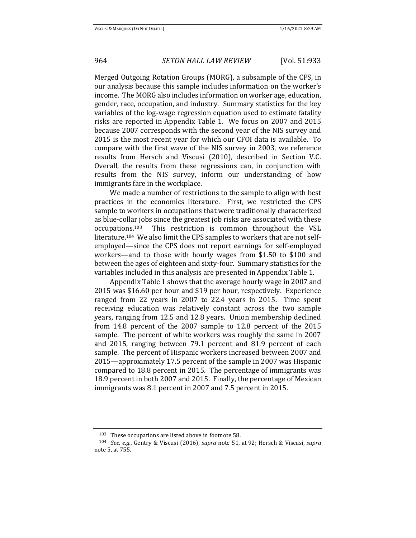Merged Outgoing Rotation Groups (MORG), a subsample of the CPS, in our analysis because this sample includes information on the worker's income. The MORG also includes information on worker age, education, gender, race, occupation, and industry. Summary statistics for the key variables of the log-wage regression equation used to estimate fatality risks are reported in Appendix Table 1. We focus on 2007 and 2015 because 2007 corresponds with the second year of the NIS survey and 2015 is the most recent year for which our CFOI data is available. To compare with the first wave of the NIS survey in 2003, we reference results from Hersch and Viscusi (2010), described in Section V.C. Overall, the results from these regressions can, in conjunction with results from the NIS survey, inform our understanding of how immigrants fare in the workplace.

We made a number of restrictions to the sample to align with best practices in the economics literature. First, we restricted the CPS sample to workers in occupations that were traditionally characterized as blue-collar jobs since the greatest job risks are associated with these occupations.103 This restriction is common throughout the VSL literature.104 We also limit the CPS samples to workers that are not selfemployed—since the CPS does not report earnings for self-employed workers—and to those with hourly wages from \$1.50 to \$100 and between the ages of eighteen and sixty-four. Summary statistics for the variables included in this analysis are presented in Appendix Table 1.

Appendix Table 1 shows that the average hourly wage in 2007 and 2015 was \$16.60 per hour and \$19 per hour, respectively. Experience ranged from 22 years in 2007 to 22.4 years in 2015. Time spent receiving education was relatively constant across the two sample years, ranging from 12.5 and 12.8 years. Union membership declined from 14.8 percent of the 2007 sample to 12.8 percent of the 2015 sample. The percent of white workers was roughly the same in 2007 and 2015, ranging between 79.1 percent and 81.9 percent of each sample. The percent of Hispanic workers increased between 2007 and 2015—approximately 17.5 percent of the sample in 2007 was Hispanic compared to 18.8 percent in 2015. The percentage of immigrants was 18.9 percent in both 2007 and 2015. Finally, the percentage of Mexican immigrants was 8.1 percent in 2007 and 7.5 percent in 2015.

<sup>103</sup> These occupations are listed above in footnote 58.

<sup>104</sup> *See, e.g.*, Gentry & Viscusi (2016), *supra* note 51, at 92; Hersch & Viscusi, *supra*  note 5, at 755.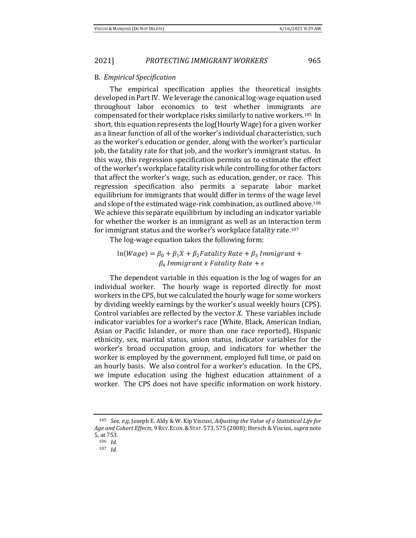#### B. *Empirical Specification*

The empirical specification applies the theoretical insights developed in Part IV. We leverage the canonical log-wage equation used throughout labor economics to test whether immigrants are compensated for their workplace risks similarly to native workers.105 In short, this equation represents the log(Hourly Wage) for a given worker as a linear function of all of the worker's individual characteristics, such as the worker's education or gender, along with the worker's particular job, the fatality rate for that job, and the worker's immigrant status. In this way, this regression specification permits us to estimate the effect of the worker's workplace fatality risk while controlling for other factors that affect the worker's wage, such as education, gender, or race. This regression specification also permits a separate labor market equilibrium for immigrants that would differ in terms of the wage level and slope of the estimated wage-risk combination, as outlined above.<sup>106</sup> We achieve this separate equilibrium by including an indicator variable for whether the worker is an immigrant as well as an interaction term for immigrant status and the worker's workplace fatality rate.<sup>107</sup>

The log-wage equation takes the following form:

# $ln(Wage) = \beta_0 + \beta_1 X + \beta_2 Fatality Rate + \beta_3 Immigrant +$  $\beta_4$  Immigrant x Fatality Rate +  $\epsilon$

The dependent variable in this equation is the log of wages for an individual worker. The hourly wage is reported directly for most workers in the CPS, but we calculated the hourly wage for some workers by dividing weekly earnings by the worker's usual weekly hours (CPS). Control variables are reflected by the vector *X*. These variables include indicator variables for a worker's race (White, Black, American Indian, Asian or Pacific Islander, or more than one race reported), Hispanic ethnicity, sex, marital status, union status, indicator variables for the worker's broad occupation group, and indicators for whether the worker is employed by the government, employed full time, or paid on an hourly basis. We also control for a worker's education. In the CPS, we impute education using the highest education attainment of a worker. The CPS does not have specific information on work history.

<sup>105</sup> *See, e.g*, Joseph E. Aldy & W. Kip Viscusi, *Adjusting the Value of a Statistical Life for Age and Cohort Effects,* 9 REV.ECON.&STAT. 573, 575 (2008); Hersch & Viscusi, *supra* note 5, at 753.

<sup>106</sup> *Id.*

<sup>107</sup> *Id.*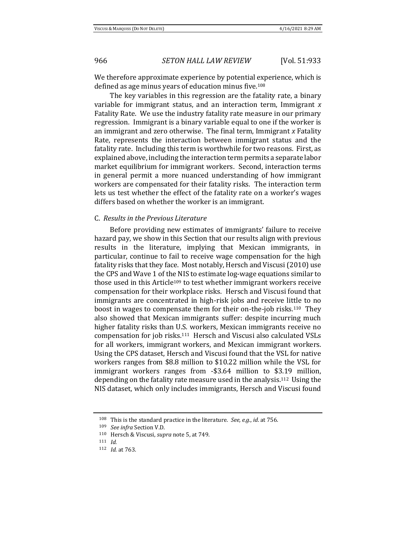We therefore approximate experience by potential experience, which is defined as age minus years of education minus five.<sup>108</sup>

The key variables in this regression are the fatality rate, a binary variable for immigrant status, and an interaction term, Immigrant *x* Fatality Rate. We use the industry fatality rate measure in our primary regression. Immigrant is a binary variable equal to one if the worker is an immigrant and zero otherwise. The final term, Immigrant *x* Fatality Rate, represents the interaction between immigrant status and the fatality rate. Including this term is worthwhile for two reasons. First, as explained above, including the interaction term permits a separate labor market equilibrium for immigrant workers. Second, interaction terms in general permit a more nuanced understanding of how immigrant workers are compensated for their fatality risks. The interaction term lets us test whether the effect of the fatality rate on a worker's wages differs based on whether the worker is an immigrant.

#### C. *Results in the Previous Literature*

Before providing new estimates of immigrants' failure to receive hazard pay, we show in this Section that our results align with previous results in the literature, implying that Mexican immigrants, in particular, continue to fail to receive wage compensation for the high fatality risks that they face. Most notably, Hersch and Viscusi(2010) use the CPS and Wave 1 of the NIS to estimate log-wage equations similar to those used in this Article<sup>109</sup> to test whether immigrant workers receive compensation for their workplace risks. Hersch and Viscusi found that immigrants are concentrated in high-risk jobs and receive little to no boost in wages to compensate them for their on-the-job risks.110 They also showed that Mexican immigrants suffer: despite incurring much higher fatality risks than U.S. workers, Mexican immigrants receive no compensation for job risks.111 Hersch and Viscusi also calculated VSLs for all workers, immigrant workers, and Mexican immigrant workers. Using the CPS dataset, Hersch and Viscusi found that the VSL for native workers ranges from \$8.8 million to \$10.22 million while the VSL for immigrant workers ranges from -\$3.64 million to \$3.19 million, depending on the fatality rate measure used in the analysis.112 Using the NIS dataset, which only includes immigrants, Hersch and Viscusi found

<sup>108</sup> This is the standard practice in the literature. *See, e.g.*, *id*. at 756.

<sup>109</sup> *See infra* Section V.D.

<sup>110</sup> Hersch & Viscusi, *supra* note 5, at 749.

<sup>111</sup> *Id.* 

<sup>112</sup> *Id.* at 763.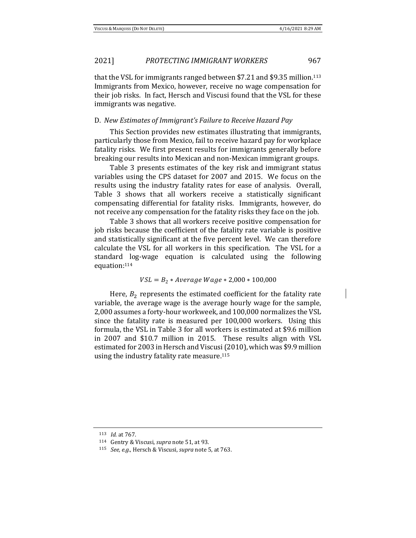that the VSL for immigrants ranged between \$7.21 and \$9.35 million.<sup>113</sup> Immigrants from Mexico, however, receive no wage compensation for their job risks. In fact, Hersch and Viscusi found that the VSL for these immigrants was negative.

### D. *New Estimates of Immigrant's Failure to Receive Hazard Pay*

This Section provides new estimates illustrating that immigrants, particularly those from Mexico, fail to receive hazard pay for workplace fatality risks. We first present results for immigrants generally before breaking our results into Mexican and non-Mexican immigrant groups.

Table 3 presents estimates of the key risk and immigrant status variables using the CPS dataset for 2007 and 2015. We focus on the results using the industry fatality rates for ease of analysis. Overall, Table 3 shows that all workers receive a statistically significant compensating differential for fatality risks. Immigrants, however, do not receive any compensation for the fatality risks they face on the job.

Table 3 shows that all workers receive positive compensation for job risks because the coefficient of the fatality rate variable is positive and statistically significant at the five percent level. We can therefore calculate the VSL for all workers in this specification. The VSL for a standard log-wage equation is calculated using the following equation: 114

#### $VSL = B_2 * Average wage * 2,000 * 100,000$

Here,  $B_2$  represents the estimated coefficient for the fatality rate variable, the average wage is the average hourly wage for the sample, 2,000 assumes a forty-hour workweek, and 100,000 normalizes the VSL since the fatality rate is measured per 100,000 workers. Using this formula, the VSL in Table 3 for all workers is estimated at \$9.6 million in 2007 and \$10.7 million in 2015. These results align with VSL estimated for 2003 in Hersch and Viscusi (2010), which was \$9.9 million using the industry fatality rate measure.<sup>115</sup>

<sup>113</sup> *Id.* at 767.

<sup>114</sup> Gentry & Viscusi, *supra* note 51, at 93.

<sup>115</sup> *See, e.g.*, Hersch & Viscusi, *supra* note 5, at 763.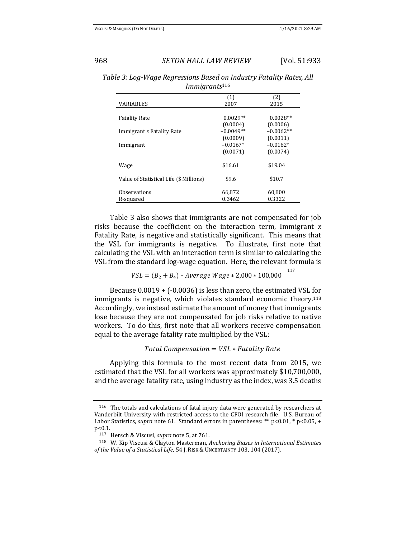117

## 968 *SETON HALL LAW REVIEW* [Vol. 51:933

*Table 3: Log-Wage Regressions Based on Industry Fatality Rates, All Immigrants*<sup>116</sup>

|                                         | (1)         | (2)         |
|-----------------------------------------|-------------|-------------|
| <b>VARIABLES</b>                        | 2007        | 2015        |
|                                         |             |             |
| <b>Fatality Rate</b>                    | $0.0029**$  | $0.0028**$  |
|                                         | (0.0004)    | (0.0006)    |
| Immigrant x Fatality Rate               | $-0.0049**$ | $-0.0062**$ |
|                                         | (0.0009)    | (0.0011)    |
| Immigrant                               | $-0.0167*$  | $-0.0162*$  |
|                                         | (0.0071)    | (0.0074)    |
|                                         |             |             |
| Wage                                    | \$16.61     | \$19.04     |
|                                         |             |             |
| Value of Statistical Life (\$ Millions) | \$9.6       | \$10.7      |
|                                         |             |             |
| Observations                            | 66,872      | 60,800      |
| R-squared                               | 0.3462      | 0.3322      |

Table 3 also shows that immigrants are not compensated for job risks because the coefficient on the interaction term, Immigrant *x* Fatality Rate, is negative and statistically significant. This means that the VSL for immigrants is negative. To illustrate, first note that calculating the VSL with an interaction term is similar to calculating the VSL from the standard log-wage equation. Here, the relevant formula is

 $VSL = (B_2 + B_4) * AverageWage * 2,000 * 100,000$ 

Because 0.0019 + (-0.0036) is less than zero, the estimated VSL for immigrants is negative, which violates standard economic theory.<sup>118</sup> Accordingly, we instead estimate the amount of money that immigrants lose because they are not compensated for job risks relative to native workers. To do this, first note that all workers receive compensation equal to the average fatality rate multiplied by the VSL:

Total Compensation =  $VSL * Fatality$  Rate

Applying this formula to the most recent data from 2015, we estimated that the VSL for all workers was approximately \$10,700,000, and the average fatality rate, using industry as the index, was 3.5 deaths

<sup>116</sup> The totals and calculations of fatal injury data were generated by researchers at Vanderbilt University with restricted access to the CFOI research file. U.S. Bureau of Labor Statistics, *supra* note 61. Standard errors in parentheses: \*\* p<0.01, \* p<0.05, + p<0.1.

<sup>117</sup> Hersch & Viscusi, *supra* note 5, at 761.

<sup>118</sup> W. Kip Viscusi & Clayton Masterman, *Anchoring Biases in International Estimates of the Value of a Statistical Life*, 54 J. RISK &UNCERTAINTY 103, 104 (2017).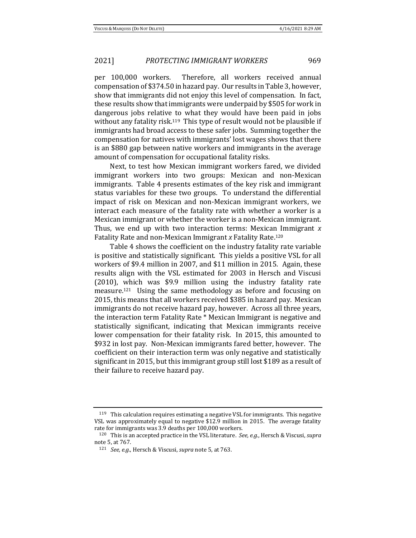per 100,000 workers. Therefore, all workers received annual compensation of \$374.50 in hazard pay. Our results in Table 3, however, show that immigrants did not enjoy this level of compensation. In fact, these results show that immigrants were underpaid by \$505 for work in dangerous jobs relative to what they would have been paid in jobs without any fatality risk.<sup>119</sup> This type of result would not be plausible if immigrants had broad access to these safer jobs. Summing together the compensation for natives with immigrants' lost wages shows that there is an \$880 gap between native workers and immigrants in the average amount of compensation for occupational fatality risks.

Next, to test how Mexican immigrant workers fared, we divided immigrant workers into two groups: Mexican and non-Mexican immigrants. Table 4 presents estimates of the key risk and immigrant status variables for these two groups. To understand the differential impact of risk on Mexican and non-Mexican immigrant workers, we interact each measure of the fatality rate with whether a worker is a Mexican immigrant or whether the worker is a non-Mexican immigrant. Thus, we end up with two interaction terms: Mexican Immigrant *x*  Fatality Rate and non-Mexican Immigrant *x* Fatality Rate.<sup>120</sup>

Table 4 shows the coefficient on the industry fatality rate variable is positive and statistically significant. This yields a positive VSL for all workers of \$9.4 million in 2007, and \$11 million in 2015. Again, these results align with the VSL estimated for 2003 in Hersch and Viscusi (2010), which was \$9.9 million using the industry fatality rate measure.121 Using the same methodology as before and focusing on 2015, this means that all workers received \$385 in hazard pay. Mexican immigrants do not receive hazard pay, however. Across all three years, the interaction term Fatality Rate \* Mexican Immigrant is negative and statistically significant, indicating that Mexican immigrants receive lower compensation for their fatality risk. In 2015, this amounted to \$932 in lost pay. Non-Mexican immigrants fared better, however. The coefficient on their interaction term was only negative and statistically significant in 2015, but this immigrant group still lost \$189 as a result of their failure to receive hazard pay.

 $119$  This calculation requires estimating a negative VSL for immigrants. This negative VSL was approximately equal to negative \$12.9 million in 2015. The average fatality rate for immigrants was 3.9 deaths per 100,000 workers.

<sup>120</sup> This is an accepted practice in the VSL literature. *See, e.g.*, Hersch & Viscusi, *supra*  note 5, at 767.

<sup>121</sup> *See, e.g.*, Hersch & Viscusi, *supra* note 5, at 763.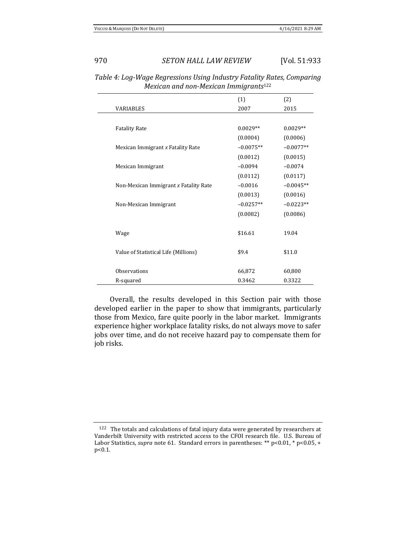|                                       | (1)         | (2)         |
|---------------------------------------|-------------|-------------|
| <b>VARIABLES</b>                      | 2007        | 2015        |
|                                       |             |             |
| <b>Fatality Rate</b>                  | $0.0029**$  | $0.0029**$  |
|                                       | (0.0004)    | (0.0006)    |
| Mexican Immigrant x Fatality Rate     | $-0.0075**$ | $-0.0077**$ |
|                                       | (0.0012)    | (0.0015)    |
| Mexican Immigrant                     | $-0.0094$   | $-0.0074$   |
|                                       | (0.0112)    | (0.0117)    |
| Non-Mexican Immigrant x Fatality Rate | $-0.0016$   | $-0.0045**$ |
|                                       | (0.0013)    | (0.0016)    |
| Non-Mexican Immigrant                 | $-0.0257**$ | $-0.0223**$ |
|                                       | (0.0082)    | (0.0086)    |
|                                       |             |             |
| Wage                                  | \$16.61     | 19.04       |
|                                       |             |             |
| Value of Statistical Life (Millions)  | \$9.4       | \$11.0      |
|                                       |             |             |
| <b>Observations</b>                   | 66,872      | 60,800      |
| R-squared                             | 0.3462      | 0.3322      |

*Table 4: Log-Wage Regressions Using Industry Fatality Rates, Comparing Mexican and non-Mexican Immigrants*<sup>122</sup>

Overall, the results developed in this Section pair with those developed earlier in the paper to show that immigrants, particularly those from Mexico, fare quite poorly in the labor market. Immigrants experience higher workplace fatality risks, do not always move to safer jobs over time, and do not receive hazard pay to compensate them for job risks.

<sup>122</sup> The totals and calculations of fatal injury data were generated by researchers at Vanderbilt University with restricted access to the CFOI research file. U.S. Bureau of Labor Statistics, *supra* note 61. Standard errors in parentheses: \*\* p<0.01, \* p<0.05, + p<0.1.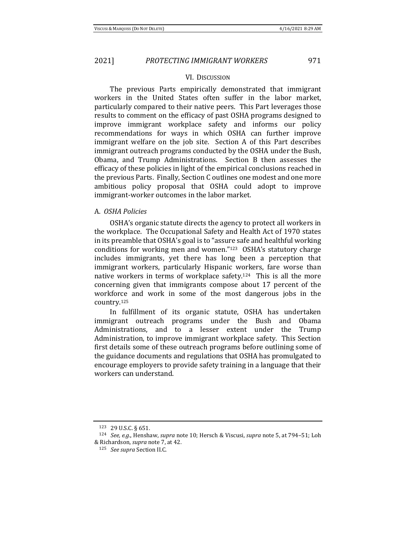#### VI. DISCUSSION

The previous Parts empirically demonstrated that immigrant workers in the United States often suffer in the labor market, particularly compared to their native peers. This Part leverages those results to comment on the efficacy of past OSHA programs designed to improve immigrant workplace safety and informs our policy recommendations for ways in which OSHA can further improve immigrant welfare on the job site. Section A of this Part describes immigrant outreach programs conducted by the OSHA under the Bush, Obama, and Trump Administrations. Section B then assesses the efficacy of these policies in light of the empirical conclusions reached in the previous Parts. Finally, Section C outlines one modest and one more ambitious policy proposal that OSHA could adopt to improve immigrant-worker outcomes in the labor market.

#### A. *OSHA Policies*

OSHA's organic statute directs the agency to protect all workers in the workplace. The Occupational Safety and Health Act of 1970 states in its preamble that OSHA's goal is to "assure safe and healthful working conditions for working men and women."<sup>123</sup> OSHA's statutory charge includes immigrants, yet there has long been a perception that immigrant workers, particularly Hispanic workers, fare worse than native workers in terms of workplace safety.124 This is all the more concerning given that immigrants compose about 17 percent of the workforce and work in some of the most dangerous jobs in the country.<sup>125</sup>

In fulfillment of its organic statute, OSHA has undertaken immigrant outreach programs under the Bush and Obama Administrations, and to a lesser extent under the Trump Administration, to improve immigrant workplace safety. This Section first details some of these outreach programs before outlining some of the guidance documents and regulations that OSHA has promulgated to encourage employers to provide safety training in a language that their workers can understand.

<sup>123</sup> 29 U.S.C. § 651.

<sup>124</sup> *See, e.g*., Henshaw, *supra* note 10; Hersch & Viscusi, *supra* note 5, at 794–51; Loh & Richardson, *supra* note 7, at 42.

<sup>125</sup> *See supra* Section II.C.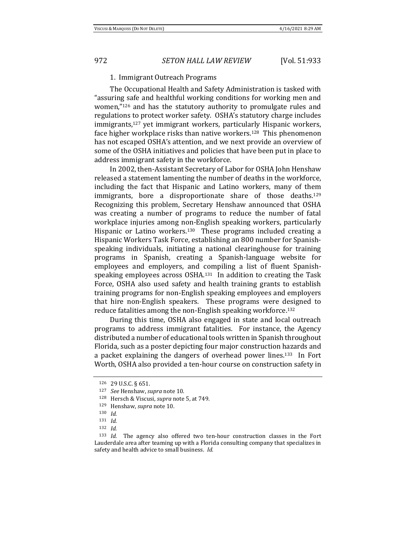#### 1. Immigrant Outreach Programs

The Occupational Health and Safety Administration is tasked with "assuring safe and healthful working conditions for working men and women,"<sup>126</sup> and has the statutory authority to promulgate rules and regulations to protect worker safety. OSHA's statutory charge includes immigrants,<sup>127</sup> yet immigrant workers, particularly Hispanic workers, face higher workplace risks than native workers.<sup>128</sup> This phenomenon has not escaped OSHA's attention, and we next provide an overview of some of the OSHA initiatives and policies that have been put in place to address immigrant safety in the workforce.

In 2002, then-Assistant Secretary of Labor for OSHA John Henshaw released a statement lamenting the number of deaths in the workforce, including the fact that Hispanic and Latino workers, many of them immigrants, bore a disproportionate share of those deaths.<sup>129</sup> Recognizing this problem, Secretary Henshaw announced that OSHA was creating a number of programs to reduce the number of fatal workplace injuries among non-English speaking workers, particularly Hispanic or Latino workers.<sup>130</sup> These programs included creating a Hispanic Workers Task Force, establishing an 800 number for Spanishspeaking individuals, initiating a national clearinghouse for training programs in Spanish, creating a Spanish-language website for employees and employers, and compiling a list of fluent Spanishspeaking employees across OSHA.131 In addition to creating the Task Force, OSHA also used safety and health training grants to establish training programs for non-English speaking employees and employers that hire non-English speakers. These programs were designed to reduce fatalities among the non-English speaking workforce.<sup>132</sup>

During this time, OSHA also engaged in state and local outreach programs to address immigrant fatalities. For instance, the Agency distributed a number of educational tools written in Spanish throughout Florida, such as a poster depicting four major construction hazards and a packet explaining the dangers of overhead power lines.133 In Fort Worth, OSHA also provided a ten-hour course on construction safety in

<sup>126</sup> 29 U.S.C. § 651.

<sup>127</sup> *See* Henshaw, *supra* note 10.

<sup>128</sup> Hersch & Viscusi, *supra* note 5, at 749.

<sup>129</sup> Henshaw, *supra* note 10.

<sup>130</sup> *Id.*

<sup>131</sup> *Id.*

<sup>132</sup> *Id.*

<sup>133</sup> *Id.* The agency also offered two ten-hour construction classes in the Fort Lauderdale area after teaming up with a Florida consulting company that specializes in safety and health advice to small business. *Id.*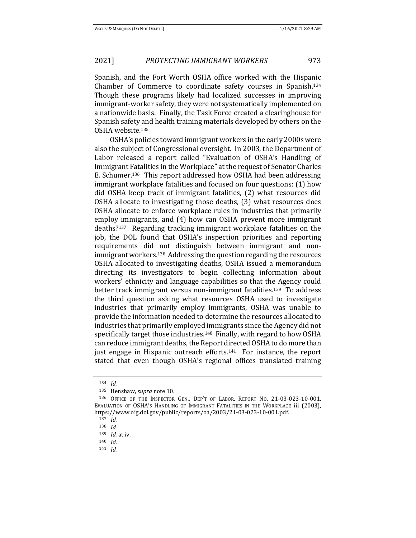Spanish, and the Fort Worth OSHA office worked with the Hispanic Chamber of Commerce to coordinate safety courses in Spanish.<sup>134</sup> Though these programs likely had localized successes in improving immigrant-worker safety, they were not systematically implemented on a nationwide basis. Finally, the Task Force created a clearinghouse for Spanish safety and health training materials developed by others on the OSHA website.<sup>135</sup>

OSHA's policies toward immigrant workers in the early 2000s were also the subject of Congressional oversight. In 2003, the Department of Labor released a report called "Evaluation of OSHA's Handling of Immigrant Fatalities in the Workplace" at the request of Senator Charles E. Schumer.136 This report addressed how OSHA had been addressing immigrant workplace fatalities and focused on four questions: (1) how did OSHA keep track of immigrant fatalities, (2) what resources did OSHA allocate to investigating those deaths, (3) what resources does OSHA allocate to enforce workplace rules in industries that primarily employ immigrants, and (4) how can OSHA prevent more immigrant deaths?137 Regarding tracking immigrant workplace fatalities on the job, the DOL found that OSHA's inspection priorities and reporting requirements did not distinguish between immigrant and nonimmigrant workers.138 Addressing the question regarding the resources OSHA allocated to investigating deaths, OSHA issued a memorandum directing its investigators to begin collecting information about workers' ethnicity and language capabilities so that the Agency could better track immigrant versus non-immigrant fatalities.139 To address the third question asking what resources OSHA used to investigate industries that primarily employ immigrants, OSHA was unable to provide the information needed to determine the resources allocated to industries that primarily employed immigrants since the Agency did not specifically target those industries.140 Finally, with regard to how OSHA can reduce immigrant deaths, the Report directed OSHA to do more than just engage in Hispanic outreach efforts.141 For instance, the report stated that even though OSHA's regional offices translated training

<sup>134</sup> *Id.*

<sup>135</sup> Henshaw, *supra* note 10.

<sup>136</sup> OFFICE OF THE INSPECTOR GEN., DEP'T OF LABOR, REPORT NO. 21-03-023-10-001, EVALUATION OF OSHA'S HANDLING OF IMMIGRANT FATALITIES IN THE WORKPLACE iii (2003), https://www.oig.dol.gov/public/reports/oa/2003/21-03-023-10-001.pdf.

<sup>137</sup> *Id.*

<sup>138</sup> *Id.*

<sup>139</sup> *Id.* at iv.

<sup>140</sup> *Id.* 

<sup>141</sup> *Id.*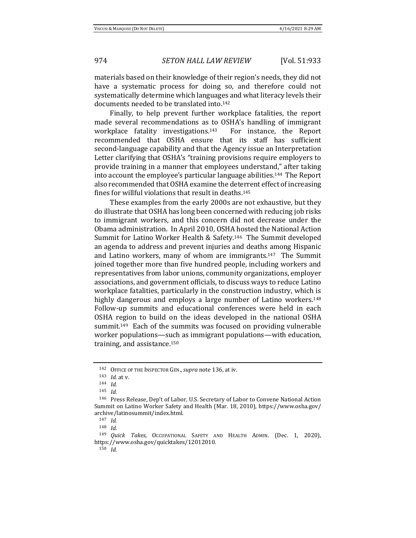materials based on their knowledge of their region's needs, they did not have a systematic process for doing so, and therefore could not systematically determine which languages and what literacy levels their documents needed to be translated into.<sup>142</sup>

Finally, to help prevent further workplace fatalities, the report made several recommendations as to OSHA's handling of immigrant workplace fatality investigations.<sup>143</sup> For instance, the Report recommended that OSHA ensure that its staff has sufficient second-language capability and that the Agency issue an Interpretation Letter clarifying that OSHA's "training provisions require employers to provide training in a manner that employees understand," after taking into account the employee's particular language abilities.144 The Report also recommended that OSHA examine the deterrent effect of increasing fines for willful violations that result in deaths.<sup>145</sup>

These examples from the early 2000s are not exhaustive, but they do illustrate that OSHA has long been concerned with reducing job risks to immigrant workers, and this concern did not decrease under the Obama administration. In April 2010, OSHA hosted the National Action Summit for Latino Worker Health & Safety.146 The Summit developed an agenda to address and prevent injuries and deaths among Hispanic and Latino workers, many of whom are immigrants.147 The Summit joined together more than five hundred people, including workers and representatives from labor unions, community organizations, employer associations, and government officials, to discuss ways to reduce Latino workplace fatalities, particularly in the construction industry, which is highly dangerous and employs a large number of Latino workers.<sup>148</sup> Follow-up summits and educational conferences were held in each OSHA region to build on the ideas developed in the national OSHA summit.149 Each of the summits was focused on providing vulnerable worker populations—such as immigrant populations—with education, training, and assistance.<sup>150</sup>

<sup>150</sup> *Id.* 

<sup>142</sup> OFFICE OF THE INSPECTOR GEN.,*supra* note 136, at iv.

<sup>143</sup> *Id.* at v.

<sup>144</sup> *Id.* 

<sup>145</sup> *Id.* 

<sup>146</sup> Press Release, Dep't of Labor, U.S. Secretary of Labor to Convene National Action Summit on Latino Worker Safety and Health (Mar. 18, 2010), https://www.osha.gov/ archive/latinosummit/index.html.

 $147 \, \text{Id}$ 

<sup>148</sup> *Id.* 

<sup>149</sup> *Quick Takes,* OCCUPATIONAL SAFETY AND HEALTH ADMIN. (Dec. 1, 2020), https://www.osha.gov/quicktakes/12012010.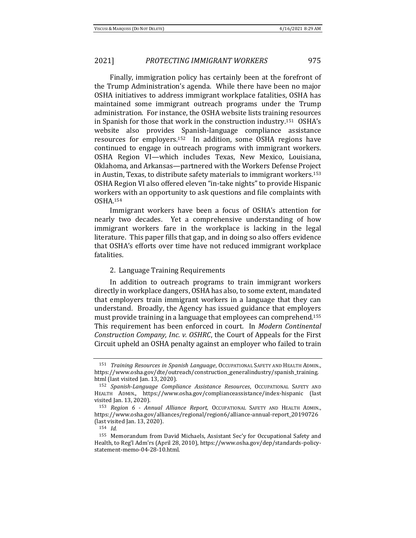Finally, immigration policy has certainly been at the forefront of the Trump Administration's agenda. While there have been no major OSHA initiatives to address immigrant workplace fatalities, OSHA has maintained some immigrant outreach programs under the Trump administration. For instance, the OSHA website lists training resources in Spanish for those that work in the construction industry.<sup>151</sup> OSHA's website also provides Spanish-language compliance assistance resources for employers.152 In addition, some OSHA regions have continued to engage in outreach programs with immigrant workers. OSHA Region VI—which includes Texas, New Mexico, Louisiana, Oklahoma, and Arkansas—partnered with the Workers Defense Project in Austin, Texas, to distribute safety materials to immigrant workers.<sup>153</sup> OSHA Region VI also offered eleven "in-take nights" to provide Hispanic workers with an opportunity to ask questions and file complaints with OSHA.<sup>154</sup>

Immigrant workers have been a focus of OSHA's attention for nearly two decades. Yet a comprehensive understanding of how immigrant workers fare in the workplace is lacking in the legal literature. This paper fills that gap, and in doing so also offers evidence that OSHA's efforts over time have not reduced immigrant workplace fatalities.

### 2. Language Training Requirements

In addition to outreach programs to train immigrant workers directly in workplace dangers, OSHA has also, to some extent, mandated that employers train immigrant workers in a language that they can understand. Broadly, the Agency has issued guidance that employers must provide training in a language that employees can comprehend.<sup>155</sup> This requirement has been enforced in court. In *Modern Continental Construction Company, Inc. v. OSHRC*, the Court of Appeals for the First Circuit upheld an OSHA penalty against an employer who failed to train

<sup>151</sup> *Training Resources in Spanish Language*, OCCUPATIONAL SAFETY AND HEALTH ADMIN., https://www.osha.gov/dte/outreach/construction\_generalindustry/spanish\_training. html (last visited Jan. 13, 2020).

<sup>152</sup> *Spanish-Language Compliance Assistance Resources*, OCCUPATIONAL SAFETY AND HEALTH ADMIN., https://www.osha.gov/complianceassistance/index-hispanic (last visited Jan. 13, 2020).

<sup>153</sup> *Region 6 - Annual Alliance Report,* OCCUPATIONAL SAFETY AND HEALTH ADMIN., https://www.osha.gov/alliances/regional/region6/alliance-annual-report\_20190726 (last visited Jan. 13, 2020).

<sup>154</sup> *Id.* 

<sup>155</sup> Memorandum from David Michaels, Assistant Sec'y for Occupational Safety and Health, to Reg'l Adm'rs (April 28, 2010), https://www.osha.gov/dep/standards-policystatement-memo-04-28-10.html.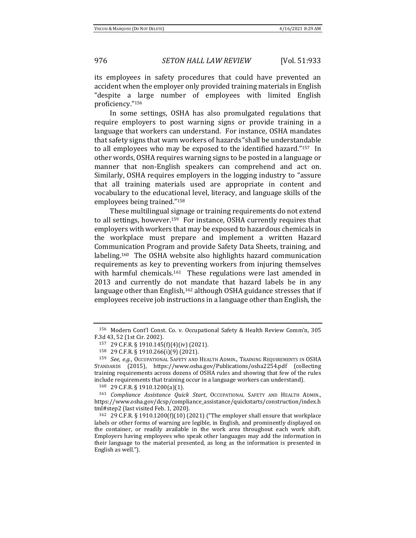its employees in safety procedures that could have prevented an accident when the employer only provided training materials in English "despite a large number of employees with limited English proficiency."<sup>156</sup>

In some settings, OSHA has also promulgated regulations that require employers to post warning signs or provide training in a language that workers can understand. For instance, OSHA mandates that safety signs that warn workers of hazards "shall be understandable to all employees who may be exposed to the identified hazard."157 In other words, OSHA requires warning signs to be posted in a language or manner that non-English speakers can comprehend and act on. Similarly, OSHA requires employers in the logging industry to "assure that all training materials used are appropriate in content and vocabulary to the educational level, literacy, and language skills of the employees being trained."<sup>158</sup>

These multilingual signage or training requirements do not extend to all settings, however.159 For instance, OSHA currently requires that employers with workers that may be exposed to hazardous chemicals in the workplace must prepare and implement a written Hazard Communication Program and provide Safety Data Sheets, training, and labeling.160 The OSHA website also highlights hazard communication requirements as key to preventing workers from injuring themselves with harmful chemicals.<sup>161</sup> These regulations were last amended in 2013 and currently do not mandate that hazard labels be in any language other than English,<sup>162</sup> although OSHA guidance stresses that if employees receive job instructions in a language other than English, the

<sup>156</sup> Modern Cont'l Const. Co. v. Occupational Safety & Health Review Comm'n, 305 F.3d 43, 52 (1st Cir. 2002).

<sup>157</sup> 29 C.F.R. § 1910.145(f)(4)(iv) (2021).

<sup>158</sup> 29 C.F.R. § 1910.266(i)(9) (2021).

<sup>159</sup> *See, e.g.*, OCCUPATIONAL SAFETY AND HEALTH ADMIN., TRAINING REQUIREMENTS IN OSHA STANDARDS (2015), https://www.osha.gov/Publications/osha2254.pdf (collecting training requirements across dozens of OSHA rules and showing that few of the rules include requirements that training occur in a language workers can understand).

<sup>160</sup> 29 C.F.R. § 1910.1200(a)(1).

<sup>161</sup> *Compliance Assistance Quick Start*, OCCUPATIONAL SAFETY AND HEALTH ADMIN., https://www.osha.gov/dcsp/compliance\_assistance/quickstarts/construction/index.h tml#step2 (last visited Feb. 1, 2020).

<sup>162</sup> 29 C.F.R. § 1910.1200(f)(10) (2021) ("The employer shall ensure that workplace labels or other forms of warning are legible, in English, and prominently displayed on the container, or readily available in the work area throughout each work shift. Employers having employees who speak other languages may add the information in their language to the material presented, as long as the information is presented in English as well.").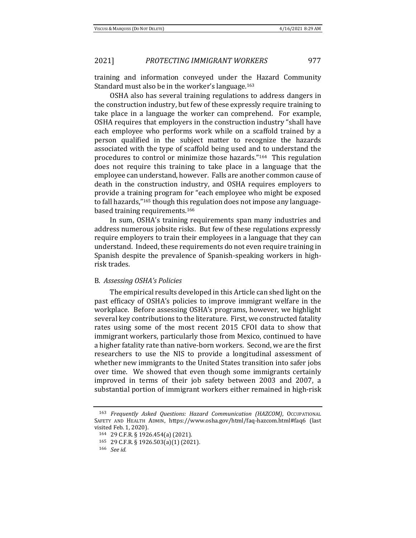training and information conveyed under the Hazard Community Standard must also be in the worker's language.<sup>163</sup>

OSHA also has several training regulations to address dangers in the construction industry, but few of these expressly require training to take place in a language the worker can comprehend. For example, OSHA requires that employers in the construction industry "shall have each employee who performs work while on a scaffold trained by a person qualified in the subject matter to recognize the hazards associated with the type of scaffold being used and to understand the procedures to control or minimize those hazards."164 This regulation does not require this training to take place in a language that the employee can understand, however. Falls are another common cause of death in the construction industry, and OSHA requires employers to provide a training program for "each employee who might be exposed to fall hazards,"<sup>165</sup> though this regulation does not impose any languagebased training requirements.<sup>166</sup>

In sum, OSHA's training requirements span many industries and address numerous jobsite risks. But few of these regulations expressly require employers to train their employees in a language that they can understand. Indeed, these requirements do not even require training in Spanish despite the prevalence of Spanish-speaking workers in highrisk trades.

## B. *Assessing OSHA's Policies*

The empirical results developed in this Article can shed light on the past efficacy of OSHA's policies to improve immigrant welfare in the workplace. Before assessing OSHA's programs, however, we highlight several key contributions to the literature. First, we constructed fatality rates using some of the most recent 2015 CFOI data to show that immigrant workers, particularly those from Mexico, continued to have a higher fatality rate than native-born workers. Second, we are the first researchers to use the NIS to provide a longitudinal assessment of whether new immigrants to the United States transition into safer jobs over time. We showed that even though some immigrants certainly improved in terms of their job safety between 2003 and 2007, a substantial portion of immigrant workers either remained in high-risk

<sup>163</sup> *Frequently Asked Questions: Hazard Communication (HAZCOM)*, OCCUPATIONAL SAFETY AND HEALTH ADMIN, https://www.osha.gov/html/faq-hazcom.html#faq6 (last visited Feb. 1, 2020).

<sup>164</sup> 29 C.F.R. § 1926.454(a) (2021).

<sup>165</sup> 29 C.F.R. § 1926.503(a)(1) (2021).

<sup>166</sup> *See id.*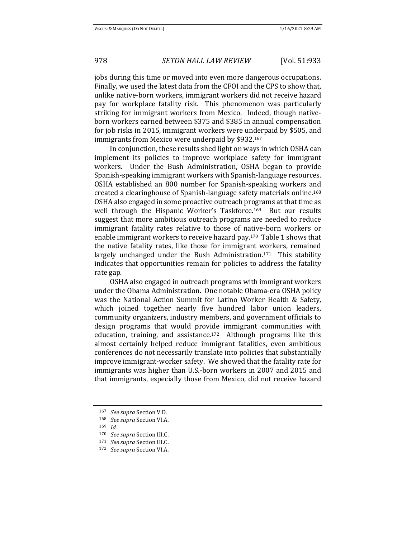jobs during this time or moved into even more dangerous occupations. Finally, we used the latest data from the CFOI and the CPS to show that, unlike native-born workers, immigrant workers did not receive hazard pay for workplace fatality risk. This phenomenon was particularly striking for immigrant workers from Mexico. Indeed, though nativeborn workers earned between \$375 and \$385 in annual compensation for job risks in 2015, immigrant workers were underpaid by \$505, and immigrants from Mexico were underpaid by \$932.<sup>167</sup>

In conjunction, these results shed light on ways in which OSHA can implement its policies to improve workplace safety for immigrant workers. Under the Bush Administration, OSHA began to provide Spanish-speaking immigrant workers with Spanish-language resources. OSHA established an 800 number for Spanish-speaking workers and created a clearinghouse of Spanish-language safety materials online.<sup>168</sup> OSHA also engaged in some proactive outreach programs at that time as well through the Hispanic Worker's Taskforce.<sup>169</sup> But our results suggest that more ambitious outreach programs are needed to reduce immigrant fatality rates relative to those of native-born workers or enable immigrant workers to receive hazard pay.170 Table 1 shows that the native fatality rates, like those for immigrant workers, remained largely unchanged under the Bush Administration.<sup>171</sup> This stability indicates that opportunities remain for policies to address the fatality rate gap.

OSHA also engaged in outreach programs with immigrant workers under the Obama Administration. One notable Obama-era OSHA policy was the National Action Summit for Latino Worker Health & Safety, which joined together nearly five hundred labor union leaders, community organizers, industry members, and government officials to design programs that would provide immigrant communities with education, training, and assistance.172 Although programs like this almost certainly helped reduce immigrant fatalities, even ambitious conferences do not necessarily translate into policies that substantially improve immigrant-worker safety. We showed that the fatality rate for immigrants was higher than U.S.-born workers in 2007 and 2015 and that immigrants, especially those from Mexico, did not receive hazard

<sup>167</sup> *See supra* Section V.D.

<sup>168</sup> *See supra* Section VI.A.

<sup>169</sup> *Id.* 

<sup>170</sup> *See supra* Section III.C.

<sup>171</sup> *See supra* Section III.C.

<sup>172</sup> *See supra* Section VI.A.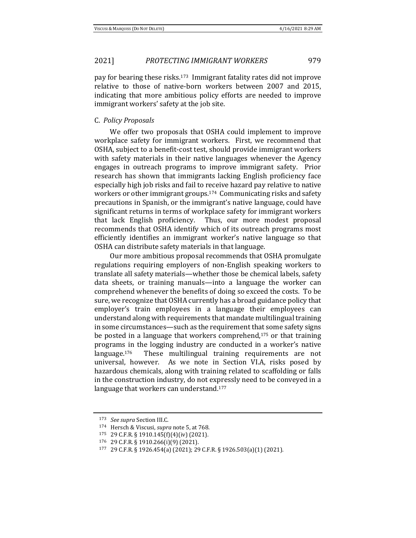pay for bearing these risks.173 Immigrant fatality rates did not improve relative to those of native-born workers between 2007 and 2015, indicating that more ambitious policy efforts are needed to improve immigrant workers' safety at the job site.

### C. *Policy Proposals*

We offer two proposals that OSHA could implement to improve workplace safety for immigrant workers. First, we recommend that OSHA, subject to a benefit-cost test, should provide immigrant workers with safety materials in their native languages whenever the Agency engages in outreach programs to improve immigrant safety. Prior research has shown that immigrants lacking English proficiency face especially high job risks and fail to receive hazard pay relative to native workers or other immigrant groups.<sup>174</sup> Communicating risks and safety precautions in Spanish, or the immigrant's native language, could have significant returns in terms of workplace safety for immigrant workers that lack English proficiency. Thus, our more modest proposal recommends that OSHA identify which of its outreach programs most efficiently identifies an immigrant worker's native language so that OSHA can distribute safety materials in that language.

Our more ambitious proposal recommends that OSHA promulgate regulations requiring employers of non-English speaking workers to translate all safety materials—whether those be chemical labels, safety data sheets, or training manuals—into a language the worker can comprehend whenever the benefits of doing so exceed the costs. To be sure, we recognize that OSHA currently has a broad guidance policy that employer's train employees in a language their employees can understand along with requirements that mandate multilingual training in some circumstances—such as the requirement that some safety signs be posted in a language that workers comprehend,<sup>175</sup> or that training programs in the logging industry are conducted in a worker's native language.<sup>176</sup> These multilingual training requirements are not universal, however. As we note in Section VI.A, risks posed by hazardous chemicals, along with training related to scaffolding or falls in the construction industry, do not expressly need to be conveyed in a language that workers can understand.<sup>177</sup>

<sup>173</sup> *See supra* Section III.C*.*

<sup>174</sup> Hersch & Viscusi, *supra* note 5, at 768.

<sup>175</sup> 29 C.F.R. § 1910.145(f)(4)(iv) (2021).

<sup>176</sup> 29 C.F.R. § 1910.266(i)(9) (2021).

<sup>177</sup> 29 C.F.R. § 1926.454(a) (2021); 29 C.F.R. § 1926.503(a)(1) (2021).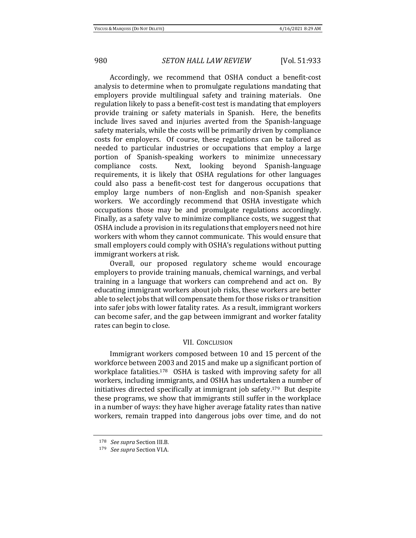Accordingly, we recommend that OSHA conduct a benefit-cost analysis to determine when to promulgate regulations mandating that employers provide multilingual safety and training materials. One regulation likely to pass a benefit-cost test is mandating that employers provide training or safety materials in Spanish. Here, the benefits include lives saved and injuries averted from the Spanish-language safety materials, while the costs will be primarily driven by compliance costs for employers. Of course, these regulations can be tailored as needed to particular industries or occupations that employ a large portion of Spanish-speaking workers to minimize unnecessary compliance costs. Next, looking beyond Spanish-language requirements, it is likely that OSHA regulations for other languages could also pass a benefit-cost test for dangerous occupations that employ large numbers of non-English and non-Spanish speaker workers. We accordingly recommend that OSHA investigate which occupations those may be and promulgate regulations accordingly. Finally, as a safety valve to minimize compliance costs, we suggest that OSHA include a provision in its regulations that employers need not hire workers with whom they cannot communicate. This would ensure that small employers could comply with OSHA's regulations without putting immigrant workers at risk.

Overall, our proposed regulatory scheme would encourage employers to provide training manuals, chemical warnings, and verbal training in a language that workers can comprehend and act on. By educating immigrant workers about job risks, these workers are better able to select jobs that will compensate them for those risks or transition into safer jobs with lower fatality rates. As a result, immigrant workers can become safer, and the gap between immigrant and worker fatality rates can begin to close.

#### VII. CONCLUSION

Immigrant workers composed between 10 and 15 percent of the workforce between 2003 and 2015 and make up a significant portion of workplace fatalities.<sup>178</sup> OSHA is tasked with improving safety for all workers, including immigrants, and OSHA has undertaken a number of initiatives directed specifically at immigrant job safety.179 But despite these programs, we show that immigrants still suffer in the workplace in a number of ways: they have higher average fatality rates than native workers, remain trapped into dangerous jobs over time, and do not

<sup>178</sup> *See supra* Section III.B*.*

<sup>179</sup> *See supra* Section VI.A*.*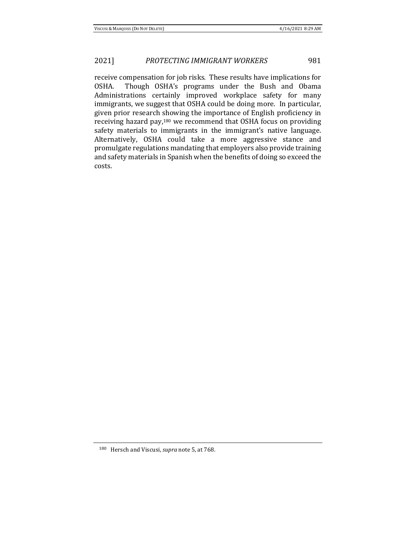receive compensation for job risks. These results have implications for OSHA. Though OSHA's programs under the Bush and Obama Administrations certainly improved workplace safety for many immigrants, we suggest that OSHA could be doing more. In particular, given prior research showing the importance of English proficiency in receiving hazard pay,<sup>180</sup> we recommend that OSHA focus on providing safety materials to immigrants in the immigrant's native language. Alternatively, OSHA could take a more aggressive stance and promulgate regulations mandating that employers also provide training and safety materials in Spanish when the benefits of doing so exceed the costs.

<sup>180</sup> Hersch and Viscusi, *supra* note 5, at 768.